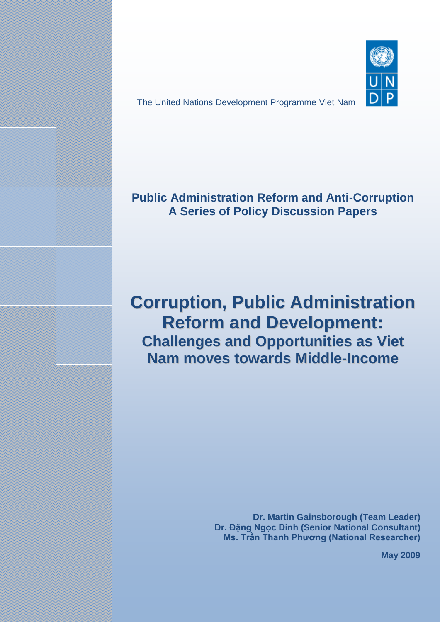The United Nations Development Programme Viet Nam



# **Public Administration Reform and Anti-Corruption A Series of Policy Discussion Papers**

# **Corruption, Public Administration Reform and Development: Challenges and Opportunities as Viet Nam moves towards Middle-Income**

The views and opinions expressed in this policy discussion paper are those of the authors and do not necessarily reflect the official views or position of the United Nations Development Programme (UNDP).

**Dr. Martin Gainsborough (Team Leader) Dr. Đặng Ngọc Dinh (Senior National Consultant) Ms. Trần Thanh Phương (National Researcher)**

**May 2009**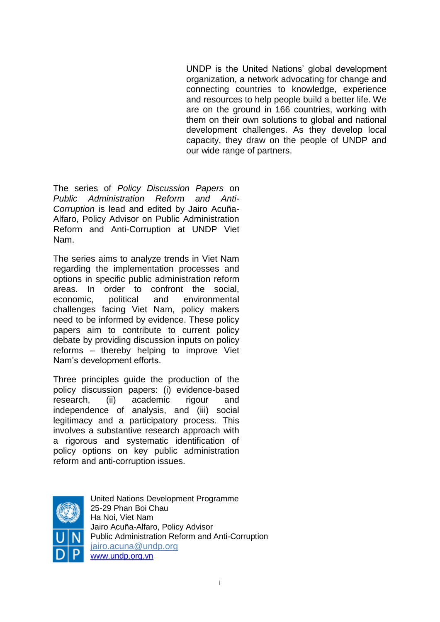UNDP is the United Nations" global development organization, a network advocating for change and connecting countries to knowledge, experience and resources to help people build a better life. We are on the ground in 166 countries, working with them on their own solutions to global and national development challenges. As they develop local capacity, they draw on the people of UNDP and our wide range of partners.

The series of *Policy Discussion Papers* on *Public Administration Reform and Anti-Corruption* is lead and edited by Jairo Acuña-Alfaro, Policy Advisor on Public Administration Reform and Anti-Corruption at UNDP Viet Nam.

The series aims to analyze trends in Viet Nam regarding the implementation processes and options in specific public administration reform areas. In order to confront the social, economic, political and environmental challenges facing Viet Nam, policy makers need to be informed by evidence. These policy papers aim to contribute to current policy debate by providing discussion inputs on policy reforms – thereby helping to improve Viet Nam"s development efforts.

Three principles guide the production of the policy discussion papers: (i) evidence-based research, (ii) academic rigour and independence of analysis, and (iii) social legitimacy and a participatory process. This involves a substantive research approach with a rigorous and systematic identification of policy options on key public administration reform and anti-corruption issues.



United Nations Development Programme 25-29 Phan Boi Chau Ha Noi, Viet Nam Jairo Acuña-Alfaro, Policy Advisor Public Administration Reform and Anti-Corruption [jairo.acuna@undp.org](mailto:jairo.acuna@undp.org) [www.undp.org.vn](http://www.undp.org.vn/)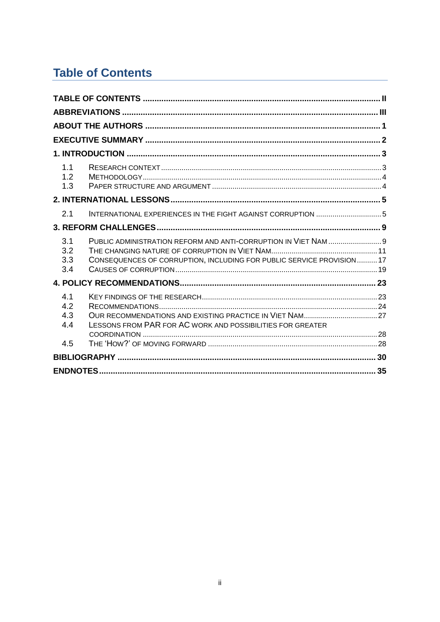# <span id="page-2-0"></span>**Table of Contents**

| 1.1<br>1.2<br>1.3                                                                                                                                                   |  |  |  |
|---------------------------------------------------------------------------------------------------------------------------------------------------------------------|--|--|--|
|                                                                                                                                                                     |  |  |  |
| INTERNATIONAL EXPERIENCES IN THE FIGHT AGAINST CORRUPTION 5<br>2.1                                                                                                  |  |  |  |
|                                                                                                                                                                     |  |  |  |
| PUBLIC ADMINISTRATION REFORM AND ANTI-CORRUPTION IN VIET NAM  9<br>3.1<br>3.2<br>CONSEQUENCES OF CORRUPTION, INCLUDING FOR PUBLIC SERVICE PROVISION17<br>3.3<br>3.4 |  |  |  |
|                                                                                                                                                                     |  |  |  |
| 4.1<br>4.2<br>4.3<br>LESSONS FROM PAR FOR AC WORK AND POSSIBILITIES FOR GREATER<br>4.4                                                                              |  |  |  |
| 4.5                                                                                                                                                                 |  |  |  |
|                                                                                                                                                                     |  |  |  |
|                                                                                                                                                                     |  |  |  |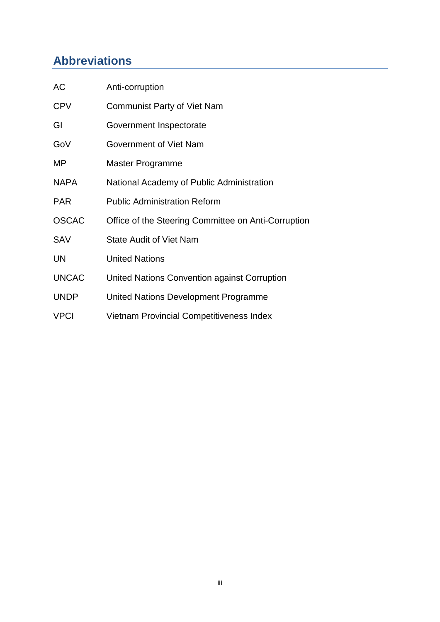# <span id="page-3-0"></span>**Abbreviations**

| AC           | Anti-corruption                                     |
|--------------|-----------------------------------------------------|
| <b>CPV</b>   | <b>Communist Party of Viet Nam</b>                  |
| GI           | Government Inspectorate                             |
| GoV          | Government of Viet Nam                              |
| MP           | Master Programme                                    |
| <b>NAPA</b>  | National Academy of Public Administration           |
| <b>PAR</b>   | <b>Public Administration Reform</b>                 |
| <b>OSCAC</b> | Office of the Steering Committee on Anti-Corruption |
| <b>SAV</b>   | <b>State Audit of Viet Nam</b>                      |
| UN           | <b>United Nations</b>                               |
| <b>UNCAC</b> | United Nations Convention against Corruption        |
| <b>UNDP</b>  | United Nations Development Programme                |
| <b>VPCI</b>  | <b>Vietnam Provincial Competitiveness Index</b>     |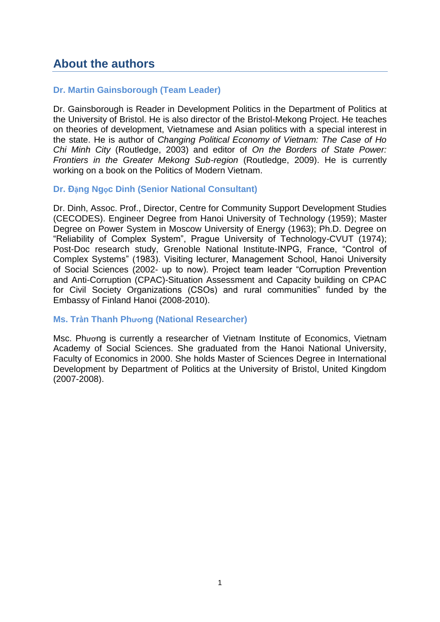### <span id="page-4-0"></span>**About the authors**

#### **Dr. Martin Gainsborough (Team Leader)**

Dr. Gainsborough is Reader in Development Politics in the Department of Politics at the University of Bristol. He is also director of the Bristol-Mekong Project. He teaches on theories of development, Vietnamese and Asian politics with a special interest in the state. He is author of *Changing Political Economy of Vietnam: The Case of Ho Chi Minh City* (Routledge, 2003) and editor of *On the Borders of State Power: Frontiers in the Greater Mekong Sub-region* (Routledge, 2009). He is currently working on a book on the Politics of Modern Vietnam.

#### **Dr. Đặng Ngọc Dinh (Senior National Consultant)**

Dr. Dinh, Assoc. Prof., Director, Centre for Community Support Development Studies (CECODES). Engineer Degree from Hanoi University of Technology (1959); Master Degree on Power System in Moscow University of Energy (1963); Ph.D. Degree on "Reliability of Complex System", Prague University of Technology-CVUT (1974); Post-Doc research study, Grenoble National Institute-INPG, France, "Control of Complex Systems" (1983). Visiting lecturer, Management School, Hanoi University of Social Sciences (2002- up to now). Project team leader "Corruption Prevention and Anti-Corruption (CPAC)-Situation Assessment and Capacity building on CPAC for Civil Society Organizations (CSOs) and rural communities" funded by the Embassy of Finland Hanoi (2008-2010).

#### **Ms. Trần Thanh Phương (National Researcher)**

Msc. Phương is currently a researcher of Vietnam Institute of Economics, Vietnam Academy of Social Sciences. She graduated from the Hanoi National University, Faculty of Economics in 2000. She holds Master of Sciences Degree in International Development by Department of Politics at the University of Bristol, United Kingdom (2007-2008).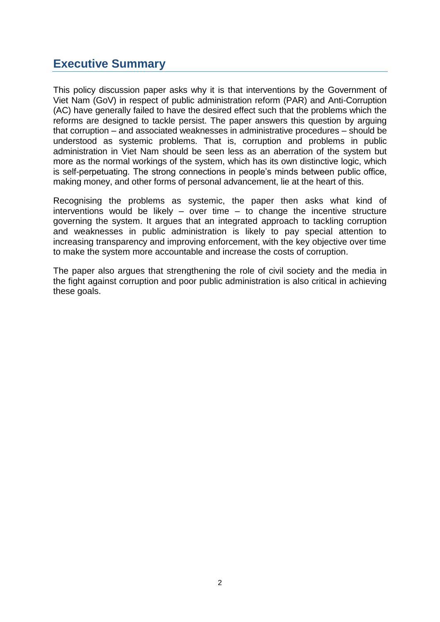## <span id="page-5-0"></span>**Executive Summary**

This policy discussion paper asks why it is that interventions by the Government of Viet Nam (GoV) in respect of public administration reform (PAR) and Anti-Corruption (AC) have generally failed to have the desired effect such that the problems which the reforms are designed to tackle persist. The paper answers this question by arguing that corruption – and associated weaknesses in administrative procedures – should be understood as systemic problems. That is, corruption and problems in public administration in Viet Nam should be seen less as an aberration of the system but more as the normal workings of the system, which has its own distinctive logic, which is self-perpetuating. The strong connections in people"s minds between public office, making money, and other forms of personal advancement, lie at the heart of this.

Recognising the problems as systemic, the paper then asks what kind of interventions would be likely  $-$  over time  $-$  to change the incentive structure governing the system. It argues that an integrated approach to tackling corruption and weaknesses in public administration is likely to pay special attention to increasing transparency and improving enforcement, with the key objective over time to make the system more accountable and increase the costs of corruption.

The paper also argues that strengthening the role of civil society and the media in the fight against corruption and poor public administration is also critical in achieving these goals.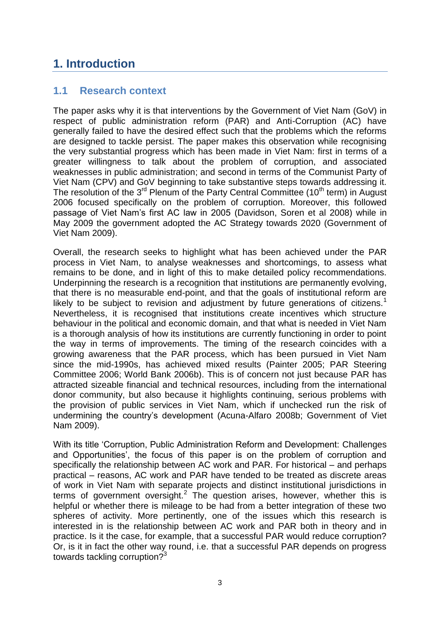# <span id="page-6-0"></span>**1. Introduction**

### <span id="page-6-1"></span>**1.1 Research context**

The paper asks why it is that interventions by the Government of Viet Nam (GoV) in respect of public administration reform (PAR) and Anti-Corruption (AC) have generally failed to have the desired effect such that the problems which the reforms are designed to tackle persist. The paper makes this observation while recognising the very substantial progress which has been made in Viet Nam: first in terms of a greater willingness to talk about the problem of corruption, and associated weaknesses in public administration; and second in terms of the Communist Party of Viet Nam (CPV) and GoV beginning to take substantive steps towards addressing it. The resolution of the  $3^{rd}$  Plenum of the Party Central Committee (10<sup>th</sup> term) in August 2006 focused specifically on the problem of corruption. Moreover, this followed passage of Viet Nam"s first AC law in 2005 (Davidson, Soren et al 2008) while in May 2009 the government adopted the AC Strategy towards 2020 (Government of Viet Nam 2009).

Overall, the research seeks to highlight what has been achieved under the PAR process in Viet Nam, to analyse weaknesses and shortcomings, to assess what remains to be done, and in light of this to make detailed policy recommendations. Underpinning the research is a recognition that institutions are permanently evolving, that there is no measurable end-point, and that the goals of institutional reform are likely to be subject to revision and adjustment by future generations of citizens.<sup>1</sup> Nevertheless, it is recognised that institutions create incentives which structure behaviour in the political and economic domain, and that what is needed in Viet Nam is a thorough analysis of how its institutions are currently functioning in order to point the way in terms of improvements. The timing of the research coincides with a growing awareness that the PAR process, which has been pursued in Viet Nam since the mid-1990s, has achieved mixed results (Painter 2005; PAR Steering Committee 2006; World Bank 2006b). This is of concern not just because PAR has attracted sizeable financial and technical resources, including from the international donor community, but also because it highlights continuing, serious problems with the provision of public services in Viet Nam, which if unchecked run the risk of undermining the country"s development (Acuna-Alfaro 2008b; Government of Viet Nam 2009).

With its title "Corruption, Public Administration Reform and Development: Challenges and Opportunities', the focus of this paper is on the problem of corruption and specifically the relationship between AC work and PAR. For historical – and perhaps practical – reasons, AC work and PAR have tended to be treated as discrete areas of work in Viet Nam with separate projects and distinct institutional jurisdictions in terms of government oversight.<sup>2</sup> The question arises, however, whether this is helpful or whether there is mileage to be had from a better integration of these two spheres of activity. More pertinently, one of the issues which this research is interested in is the relationship between AC work and PAR both in theory and in practice. Is it the case, for example, that a successful PAR would reduce corruption? Or, is it in fact the other way round, i.e. that a successful PAR depends on progress towards tackling corruption?<sup>3</sup>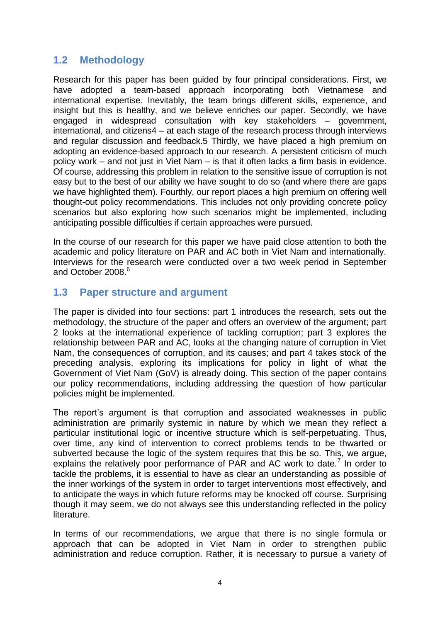### <span id="page-7-0"></span>**1.2 Methodology**

Research for this paper has been guided by four principal considerations. First, we have adopted a team-based approach incorporating both Vietnamese and international expertise. Inevitably, the team brings different skills, experience, and insight but this is healthy, and we believe enriches our paper. Secondly, we have engaged in widespread consultation with key stakeholders – government, international, and citizens4 – at each stage of the research process through interviews and regular discussion and feedback.5 Thirdly, we have placed a high premium on adopting an evidence-based approach to our research. A persistent criticism of much policy work – and not just in Viet Nam – is that it often lacks a firm basis in evidence. Of course, addressing this problem in relation to the sensitive issue of corruption is not easy but to the best of our ability we have sought to do so (and where there are gaps we have highlighted them). Fourthly, our report places a high premium on offering well thought-out policy recommendations. This includes not only providing concrete policy scenarios but also exploring how such scenarios might be implemented, including anticipating possible difficulties if certain approaches were pursued.

In the course of our research for this paper we have paid close attention to both the academic and policy literature on PAR and AC both in Viet Nam and internationally. Interviews for the research were conducted over a two week period in September and October 2008.<sup>6</sup>

### <span id="page-7-1"></span>**1.3 Paper structure and argument**

The paper is divided into four sections: part 1 introduces the research, sets out the methodology, the structure of the paper and offers an overview of the argument; part 2 looks at the international experience of tackling corruption; part 3 explores the relationship between PAR and AC, looks at the changing nature of corruption in Viet Nam, the consequences of corruption, and its causes; and part 4 takes stock of the preceding analysis, exploring its implications for policy in light of what the Government of Viet Nam (GoV) is already doing. This section of the paper contains our policy recommendations, including addressing the question of how particular policies might be implemented.

The report's argument is that corruption and associated weaknesses in public administration are primarily systemic in nature by which we mean they reflect a particular institutional logic or incentive structure which is self-perpetuating. Thus, over time, any kind of intervention to correct problems tends to be thwarted or subverted because the logic of the system requires that this be so. This, we argue, explains the relatively poor performance of PAR and AC work to date.<sup>7</sup> In order to tackle the problems, it is essential to have as clear an understanding as possible of the inner workings of the system in order to target interventions most effectively, and to anticipate the ways in which future reforms may be knocked off course. Surprising though it may seem, we do not always see this understanding reflected in the policy literature.

In terms of our recommendations, we argue that there is no single formula or approach that can be adopted in Viet Nam in order to strengthen public administration and reduce corruption. Rather, it is necessary to pursue a variety of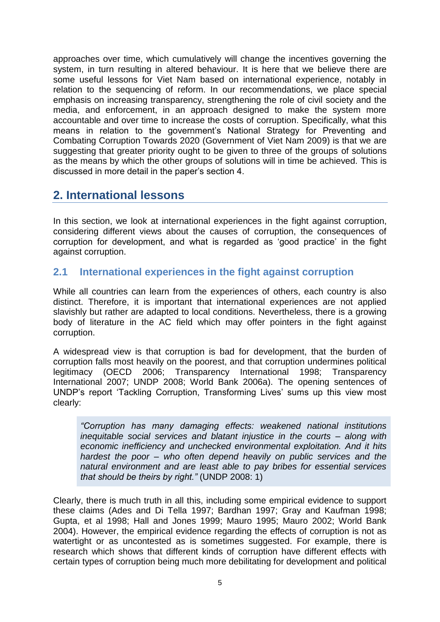approaches over time, which cumulatively will change the incentives governing the system, in turn resulting in altered behaviour. It is here that we believe there are some useful lessons for Viet Nam based on international experience, notably in relation to the sequencing of reform. In our recommendations, we place special emphasis on increasing transparency, strengthening the role of civil society and the media, and enforcement, in an approach designed to make the system more accountable and over time to increase the costs of corruption. Specifically, what this means in relation to the government's National Strategy for Preventing and Combating Corruption Towards 2020 (Government of Viet Nam 2009) is that we are suggesting that greater priority ought to be given to three of the groups of solutions as the means by which the other groups of solutions will in time be achieved. This is discussed in more detail in the paper"s section 4.

### <span id="page-8-0"></span>**2. International lessons**

In this section, we look at international experiences in the fight against corruption, considering different views about the causes of corruption, the consequences of corruption for development, and what is regarded as "good practice" in the fight against corruption.

### <span id="page-8-1"></span>**2.1 International experiences in the fight against corruption**

While all countries can learn from the experiences of others, each country is also distinct. Therefore, it is important that international experiences are not applied slavishly but rather are adapted to local conditions. Nevertheless, there is a growing body of literature in the AC field which may offer pointers in the fight against corruption.

A widespread view is that corruption is bad for development, that the burden of corruption falls most heavily on the poorest, and that corruption undermines political legitimacy (OECD 2006; Transparency International 1998; Transparency International 2007; UNDP 2008; World Bank 2006a). The opening sentences of UNDP"s report "Tackling Corruption, Transforming Lives" sums up this view most clearly:

*"Corruption has many damaging effects: weakened national institutions inequitable social services and blatant injustice in the courts – along with economic inefficiency and unchecked environmental exploitation. And it hits hardest the poor – who often depend heavily on public services and the natural environment and are least able to pay bribes for essential services that should be theirs by right."* (UNDP 2008: 1)

Clearly, there is much truth in all this, including some empirical evidence to support these claims (Ades and Di Tella 1997; Bardhan 1997; Gray and Kaufman 1998; Gupta, et al 1998; Hall and Jones 1999; Mauro 1995; Mauro 2002; World Bank 2004). However, the empirical evidence regarding the effects of corruption is not as watertight or as uncontested as is sometimes suggested. For example, there is research which shows that different kinds of corruption have different effects with certain types of corruption being much more debilitating for development and political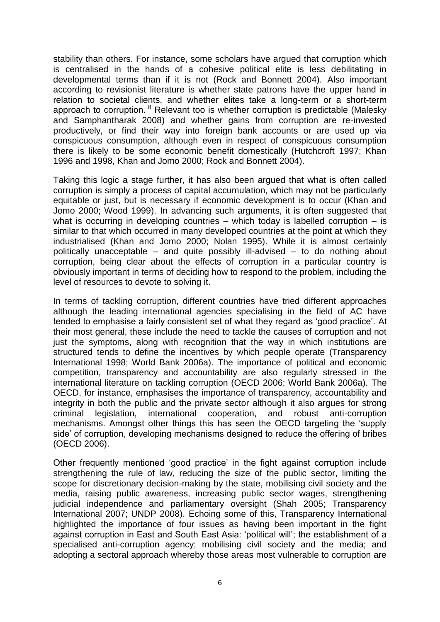stability than others. For instance, some scholars have argued that corruption which is centralised in the hands of a cohesive political elite is less debilitating in developmental terms than if it is not (Rock and Bonnett 2004). Also important according to revisionist literature is whether state patrons have the upper hand in relation to societal clients, and whether elites take a long-term or a short-term approach to corruption. <sup>8</sup> Relevant too is whether corruption is predictable (Malesky and Samphantharak 2008) and whether gains from corruption are re-invested productively, or find their way into foreign bank accounts or are used up via conspicuous consumption, although even in respect of conspicuous consumption there is likely to be some economic benefit domestically (Hutchcroft 1997; Khan 1996 and 1998, Khan and Jomo 2000; Rock and Bonnett 2004).

Taking this logic a stage further, it has also been argued that what is often called corruption is simply a process of capital accumulation, which may not be particularly equitable or just, but is necessary if economic development is to occur (Khan and Jomo 2000; Wood 1999). In advancing such arguments, it is often suggested that what is occurring in developing countries – which today is labelled corruption – is similar to that which occurred in many developed countries at the point at which they industrialised (Khan and Jomo 2000; Nolan 1995). While it is almost certainly politically unacceptable – and quite possibly ill-advised – to do nothing about corruption, being clear about the effects of corruption in a particular country is obviously important in terms of deciding how to respond to the problem, including the level of resources to devote to solving it.

In terms of tackling corruption, different countries have tried different approaches although the leading international agencies specialising in the field of AC have tended to emphasise a fairly consistent set of what they regard as "good practice". At their most general, these include the need to tackle the causes of corruption and not just the symptoms, along with recognition that the way in which institutions are structured tends to define the incentives by which people operate (Transparency International 1998; World Bank 2006a). The importance of political and economic competition, transparency and accountability are also regularly stressed in the international literature on tackling corruption (OECD 2006; World Bank 2006a). The OECD, for instance, emphasises the importance of transparency, accountability and integrity in both the public and the private sector although it also argues for strong criminal legislation, international cooperation, and robust anti-corruption mechanisms. Amongst other things this has seen the OECD targeting the "supply side" of corruption, developing mechanisms designed to reduce the offering of bribes (OECD 2006).

Other frequently mentioned "good practice" in the fight against corruption include strengthening the rule of law, reducing the size of the public sector, limiting the scope for discretionary decision-making by the state, mobilising civil society and the media, raising public awareness, increasing public sector wages, strengthening judicial independence and parliamentary oversight (Shah 2005; Transparency International 2007; UNDP 2008). Echoing some of this, Transparency International highlighted the importance of four issues as having been important in the fight against corruption in East and South East Asia: "political will"; the establishment of a specialised anti-corruption agency; mobilising civil society and the media; and adopting a sectoral approach whereby those areas most vulnerable to corruption are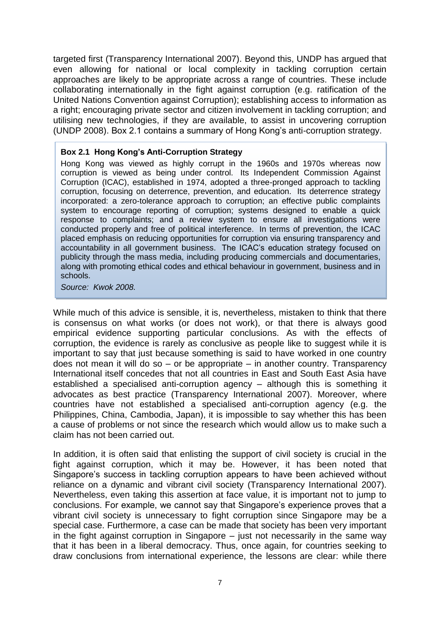targeted first (Transparency International 2007). Beyond this, UNDP has argued that even allowing for national or local complexity in tackling corruption certain approaches are likely to be appropriate across a range of countries. These include collaborating internationally in the fight against corruption (e.g. ratification of the United Nations Convention against Corruption); establishing access to information as a right; encouraging private sector and citizen involvement in tackling corruption; and utilising new technologies, if they are available, to assist in uncovering corruption (UNDP 2008). Box 2.1 contains a summary of Hong Kong"s anti-corruption strategy.

#### **Box 2.1 Hong Kong's Anti-Corruption Strategy**

Hong Kong was viewed as highly corrupt in the 1960s and 1970s whereas now corruption is viewed as being under control. Its Independent Commission Against Corruption (ICAC), established in 1974, adopted a three-pronged approach to tackling corruption, focusing on deterrence, prevention, and education. Its deterrence strategy incorporated: a zero-tolerance approach to corruption; an effective public complaints system to encourage reporting of corruption; systems designed to enable a quick response to complaints; and a review system to ensure all investigations were conducted properly and free of political interference. In terms of prevention, the ICAC placed emphasis on reducing opportunities for corruption via ensuring transparency and accountability in all government business. The ICAC"s education strategy focused on publicity through the mass media, including producing commercials and documentaries, along with promoting ethical codes and ethical behaviour in government, business and in schools.

#### *Source: Kwok 2008.*

While much of this advice is sensible, it is, nevertheless, mistaken to think that there is consensus on what works (or does not work), or that there is always good empirical evidence supporting particular conclusions. As with the effects of corruption, the evidence is rarely as conclusive as people like to suggest while it is important to say that just because something is said to have worked in one country does not mean it will do so  $-$  or be appropriate  $-$  in another country. Transparency International itself concedes that not all countries in East and South East Asia have established a specialised anti-corruption agency – although this is something it advocates as best practice (Transparency International 2007). Moreover, where countries have not established a specialised anti-corruption agency (e.g. the Philippines, China, Cambodia, Japan), it is impossible to say whether this has been a cause of problems or not since the research which would allow us to make such a claim has not been carried out.

In addition, it is often said that enlisting the support of civil society is crucial in the fight against corruption, which it may be. However, it has been noted that Singapore"s success in tackling corruption appears to have been achieved without reliance on a dynamic and vibrant civil society (Transparency International 2007). Nevertheless, even taking this assertion at face value, it is important not to jump to conclusions. For example, we cannot say that Singapore"s experience proves that a vibrant civil society is unnecessary to fight corruption since Singapore may be a special case. Furthermore, a case can be made that society has been very important in the fight against corruption in Singapore – just not necessarily in the same way that it has been in a liberal democracy. Thus, once again, for countries seeking to draw conclusions from international experience, the lessons are clear: while there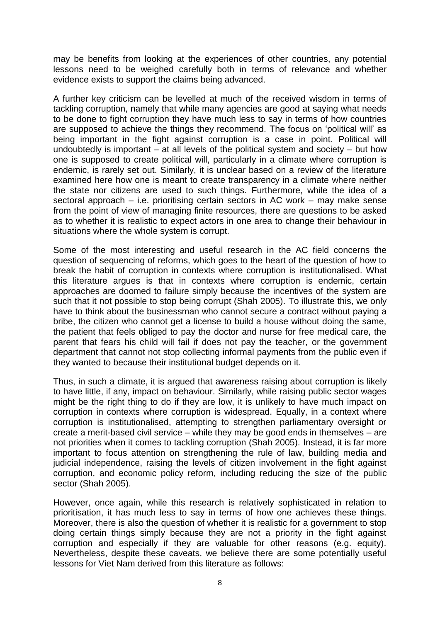may be benefits from looking at the experiences of other countries, any potential lessons need to be weighed carefully both in terms of relevance and whether evidence exists to support the claims being advanced.

A further key criticism can be levelled at much of the received wisdom in terms of tackling corruption, namely that while many agencies are good at saying what needs to be done to fight corruption they have much less to say in terms of how countries are supposed to achieve the things they recommend. The focus on "political will" as being important in the fight against corruption is a case in point. Political will undoubtedly is important – at all levels of the political system and society – but how one is supposed to create political will, particularly in a climate where corruption is endemic, is rarely set out. Similarly, it is unclear based on a review of the literature examined here how one is meant to create transparency in a climate where neither the state nor citizens are used to such things. Furthermore, while the idea of a sectoral approach – i.e. prioritising certain sectors in AC work – may make sense from the point of view of managing finite resources, there are questions to be asked as to whether it is realistic to expect actors in one area to change their behaviour in situations where the whole system is corrupt.

Some of the most interesting and useful research in the AC field concerns the question of sequencing of reforms, which goes to the heart of the question of how to break the habit of corruption in contexts where corruption is institutionalised. What this literature argues is that in contexts where corruption is endemic, certain approaches are doomed to failure simply because the incentives of the system are such that it not possible to stop being corrupt (Shah 2005). To illustrate this, we only have to think about the businessman who cannot secure a contract without paying a bribe, the citizen who cannot get a license to build a house without doing the same, the patient that feels obliged to pay the doctor and nurse for free medical care, the parent that fears his child will fail if does not pay the teacher, or the government department that cannot not stop collecting informal payments from the public even if they wanted to because their institutional budget depends on it.

Thus, in such a climate, it is argued that awareness raising about corruption is likely to have little, if any, impact on behaviour. Similarly, while raising public sector wages might be the right thing to do if they are low, it is unlikely to have much impact on corruption in contexts where corruption is widespread. Equally, in a context where corruption is institutionalised, attempting to strengthen parliamentary oversight or create a merit-based civil service – while they may be good ends in themselves – are not priorities when it comes to tackling corruption (Shah 2005). Instead, it is far more important to focus attention on strengthening the rule of law, building media and judicial independence, raising the levels of citizen involvement in the fight against corruption, and economic policy reform, including reducing the size of the public sector (Shah 2005).

However, once again, while this research is relatively sophisticated in relation to prioritisation, it has much less to say in terms of how one achieves these things. Moreover, there is also the question of whether it is realistic for a government to stop doing certain things simply because they are not a priority in the fight against corruption and especially if they are valuable for other reasons (e.g. equity). Nevertheless, despite these caveats, we believe there are some potentially useful lessons for Viet Nam derived from this literature as follows: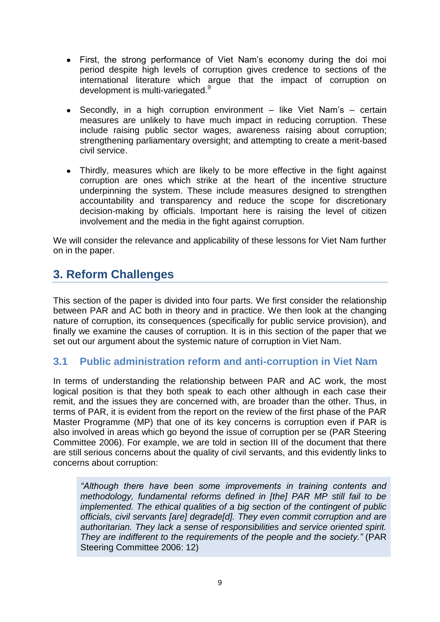- First, the strong performance of Viet Nam"s economy during the doi moi  $\bullet$ period despite high levels of corruption gives credence to sections of the international literature which argue that the impact of corruption on development is multi-variegated.<sup>9</sup>
- Secondly, in a high corruption environment like Viet Nam's certain  $\bullet$ measures are unlikely to have much impact in reducing corruption. These include raising public sector wages, awareness raising about corruption; strengthening parliamentary oversight; and attempting to create a merit-based civil service.
- Thirdly, measures which are likely to be more effective in the fight against corruption are ones which strike at the heart of the incentive structure underpinning the system. These include measures designed to strengthen accountability and transparency and reduce the scope for discretionary decision-making by officials. Important here is raising the level of citizen involvement and the media in the fight against corruption.

We will consider the relevance and applicability of these lessons for Viet Nam further on in the paper.

# <span id="page-12-0"></span>**3. Reform Challenges**

This section of the paper is divided into four parts. We first consider the relationship between PAR and AC both in theory and in practice. We then look at the changing nature of corruption, its consequences (specifically for public service provision), and finally we examine the causes of corruption. It is in this section of the paper that we set out our argument about the systemic nature of corruption in Viet Nam.

### <span id="page-12-1"></span>**3.1 Public administration reform and anti-corruption in Viet Nam**

In terms of understanding the relationship between PAR and AC work, the most logical position is that they both speak to each other although in each case their remit, and the issues they are concerned with, are broader than the other. Thus, in terms of PAR, it is evident from the report on the review of the first phase of the PAR Master Programme (MP) that one of its key concerns is corruption even if PAR is also involved in areas which go beyond the issue of corruption per se (PAR Steering Committee 2006). For example, we are told in section III of the document that there are still serious concerns about the quality of civil servants, and this evidently links to concerns about corruption:

*"Although there have been some improvements in training contents and methodology, fundamental reforms defined in [the] PAR MP still fail to be implemented. The ethical qualities of a big section of the contingent of public officials, civil servants [are] degrade[d]. They even commit corruption and are authoritarian. They lack a sense of responsibilities and service oriented spirit. They are indifferent to the requirements of the people and the society."* (PAR Steering Committee 2006: 12)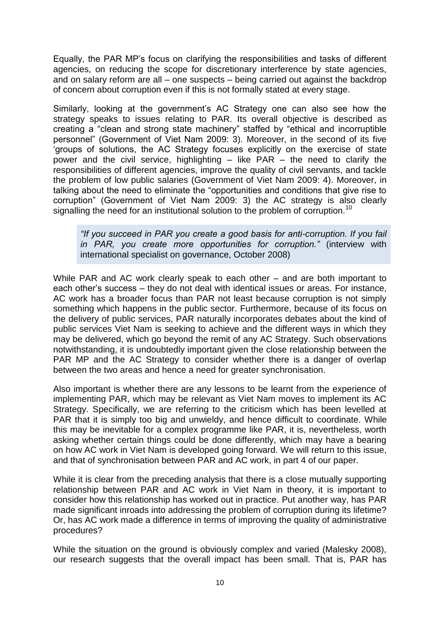Equally, the PAR MP"s focus on clarifying the responsibilities and tasks of different agencies, on reducing the scope for discretionary interference by state agencies, and on salary reform are all – one suspects – being carried out against the backdrop of concern about corruption even if this is not formally stated at every stage.

Similarly, looking at the government"s AC Strategy one can also see how the strategy speaks to issues relating to PAR. Its overall objective is described as creating a "clean and strong state machinery" staffed by "ethical and incorruptible personnel" (Government of Viet Nam 2009: 3). Moreover, in the second of its five "groups of solutions, the AC Strategy focuses explicitly on the exercise of state power and the civil service, highlighting  $-$  like PAR  $-$  the need to clarify the responsibilities of different agencies, improve the quality of civil servants, and tackle the problem of low public salaries (Government of Viet Nam 2009: 4). Moreover, in talking about the need to eliminate the "opportunities and conditions that give rise to corruption" (Government of Viet Nam 2009: 3) the AC strategy is also clearly signalling the need for an institutional solution to the problem of corruption.<sup>10</sup>

*"If you succeed in PAR you create a good basis for anti-corruption. If you fail in PAR, you create more opportunities for corruption."* (interview with international specialist on governance, October 2008)

While PAR and AC work clearly speak to each other – and are both important to each other"s success – they do not deal with identical issues or areas. For instance, AC work has a broader focus than PAR not least because corruption is not simply something which happens in the public sector. Furthermore, because of its focus on the delivery of public services, PAR naturally incorporates debates about the kind of public services Viet Nam is seeking to achieve and the different ways in which they may be delivered, which go beyond the remit of any AC Strategy. Such observations notwithstanding, it is undoubtedly important given the close relationship between the PAR MP and the AC Strategy to consider whether there is a danger of overlap between the two areas and hence a need for greater synchronisation.

Also important is whether there are any lessons to be learnt from the experience of implementing PAR, which may be relevant as Viet Nam moves to implement its AC Strategy. Specifically, we are referring to the criticism which has been levelled at PAR that it is simply too big and unwieldy, and hence difficult to coordinate. While this may be inevitable for a complex programme like PAR, it is, nevertheless, worth asking whether certain things could be done differently, which may have a bearing on how AC work in Viet Nam is developed going forward. We will return to this issue, and that of synchronisation between PAR and AC work, in part 4 of our paper.

While it is clear from the preceding analysis that there is a close mutually supporting relationship between PAR and AC work in Viet Nam in theory, it is important to consider how this relationship has worked out in practice. Put another way, has PAR made significant inroads into addressing the problem of corruption during its lifetime? Or, has AC work made a difference in terms of improving the quality of administrative procedures?

While the situation on the ground is obviously complex and varied (Malesky 2008), our research suggests that the overall impact has been small. That is, PAR has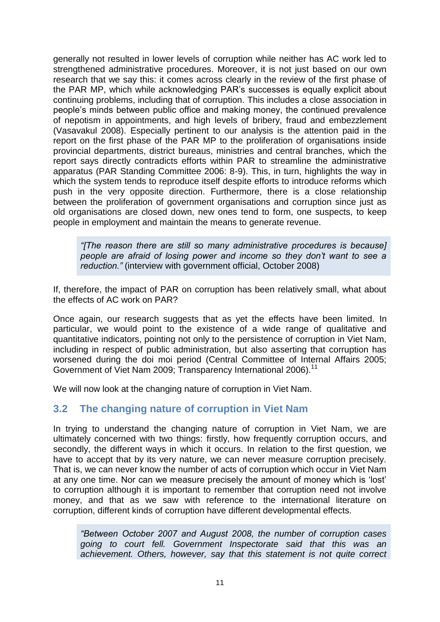generally not resulted in lower levels of corruption while neither has AC work led to strengthened administrative procedures. Moreover, it is not just based on our own research that we say this: it comes across clearly in the review of the first phase of the PAR MP, which while acknowledging PAR"s successes is equally explicit about continuing problems, including that of corruption. This includes a close association in people"s minds between public office and making money, the continued prevalence of nepotism in appointments, and high levels of bribery, fraud and embezzlement (Vasavakul 2008). Especially pertinent to our analysis is the attention paid in the report on the first phase of the PAR MP to the proliferation of organisations inside provincial departments, district bureaus, ministries and central branches, which the report says directly contradicts efforts within PAR to streamline the administrative apparatus (PAR Standing Committee 2006: 8-9). This, in turn, highlights the way in which the system tends to reproduce itself despite efforts to introduce reforms which push in the very opposite direction. Furthermore, there is a close relationship between the proliferation of government organisations and corruption since just as old organisations are closed down, new ones tend to form, one suspects, to keep people in employment and maintain the means to generate revenue.

*"[The reason there are still so many administrative procedures is because] people are afraid of losing power and income so they don't want to see a reduction."* (interview with government official, October 2008)

If, therefore, the impact of PAR on corruption has been relatively small, what about the effects of AC work on PAR?

Once again, our research suggests that as yet the effects have been limited. In particular, we would point to the existence of a wide range of qualitative and quantitative indicators, pointing not only to the persistence of corruption in Viet Nam, including in respect of public administration, but also asserting that corruption has worsened during the doi moi period (Central Committee of Internal Affairs 2005; Government of Viet Nam 2009; Transparency International 2006).<sup>11</sup>

We will now look at the changing nature of corruption in Viet Nam.

### <span id="page-14-0"></span>**3.2 The changing nature of corruption in Viet Nam**

In trying to understand the changing nature of corruption in Viet Nam, we are ultimately concerned with two things: firstly, how frequently corruption occurs, and secondly, the different ways in which it occurs. In relation to the first question, we have to accept that by its very nature, we can never measure corruption precisely. That is, we can never know the number of acts of corruption which occur in Viet Nam at any one time. Nor can we measure precisely the amount of money which is "lost" to corruption although it is important to remember that corruption need not involve money, and that as we saw with reference to the international literature on corruption, different kinds of corruption have different developmental effects.

*"Between October 2007 and August 2008, the number of corruption cases going to court fell. Government Inspectorate said that this was an achievement. Others, however, say that this statement is not quite correct*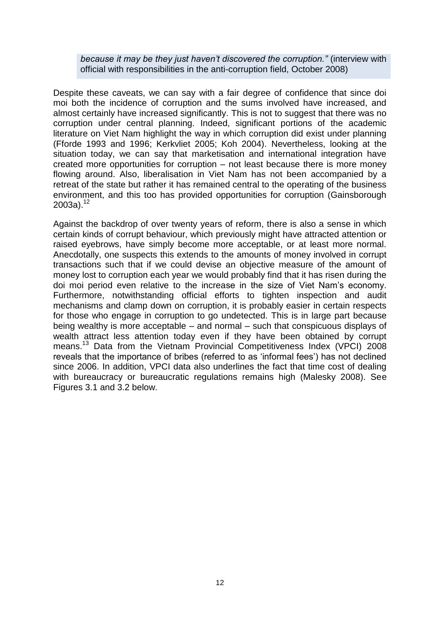*because it may be they just haven't discovered the corruption."* (interview with official with responsibilities in the anti-corruption field, October 2008)

Despite these caveats, we can say with a fair degree of confidence that since doi moi both the incidence of corruption and the sums involved have increased, and almost certainly have increased significantly. This is not to suggest that there was no corruption under central planning. Indeed, significant portions of the academic literature on Viet Nam highlight the way in which corruption did exist under planning (Fforde 1993 and 1996; Kerkvliet 2005; Koh 2004). Nevertheless, looking at the situation today, we can say that marketisation and international integration have created more opportunities for corruption – not least because there is more money flowing around. Also, liberalisation in Viet Nam has not been accompanied by a retreat of the state but rather it has remained central to the operating of the business environment, and this too has provided opportunities for corruption (Gainsborough  $2003a$ ).<sup>12</sup>

Against the backdrop of over twenty years of reform, there is also a sense in which certain kinds of corrupt behaviour, which previously might have attracted attention or raised eyebrows, have simply become more acceptable, or at least more normal. Anecdotally, one suspects this extends to the amounts of money involved in corrupt transactions such that if we could devise an objective measure of the amount of money lost to corruption each year we would probably find that it has risen during the doi moi period even relative to the increase in the size of Viet Nam"s economy. Furthermore, notwithstanding official efforts to tighten inspection and audit mechanisms and clamp down on corruption, it is probably easier in certain respects for those who engage in corruption to go undetected. This is in large part because being wealthy is more acceptable – and normal – such that conspicuous displays of wealth attract less attention today even if they have been obtained by corrupt means.<sup>13</sup> Data from the Vietnam Provincial Competitiveness Index (VPCI) 2008 reveals that the importance of bribes (referred to as "informal fees") has not declined since 2006. In addition, VPCI data also underlines the fact that time cost of dealing with bureaucracy or bureaucratic regulations remains high (Malesky 2008). See Figures 3.1 and 3.2 below.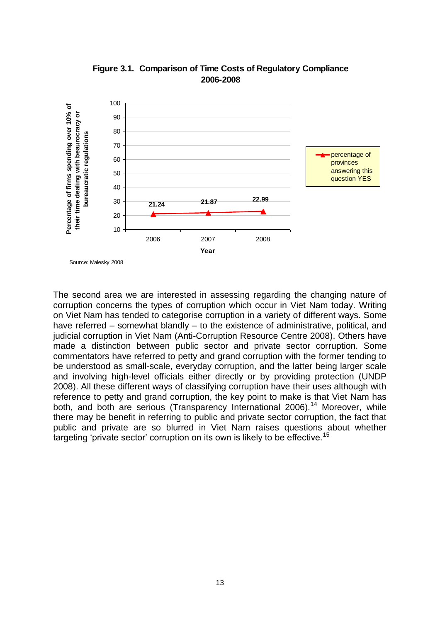

**Figure 3.1. Comparison of Time Costs of Regulatory Compliance 2006-2008**

The second area we are interested in assessing regarding the changing nature of corruption concerns the types of corruption which occur in Viet Nam today. Writing on Viet Nam has tended to categorise corruption in a variety of different ways. Some have referred – somewhat blandly – to the existence of administrative, political, and judicial corruption in Viet Nam (Anti-Corruption Resource Centre 2008). Others have made a distinction between public sector and private sector corruption. Some commentators have referred to petty and grand corruption with the former tending to be understood as small-scale, everyday corruption, and the latter being larger scale and involving high-level officials either directly or by providing protection (UNDP 2008). All these different ways of classifying corruption have their uses although with reference to petty and grand corruption, the key point to make is that Viet Nam has both, and both are serious (Transparency International 2006).<sup>14</sup> Moreover, while there may be benefit in referring to public and private sector corruption, the fact that public and private are so blurred in Viet Nam raises questions about whether targeting 'private sector' corruption on its own is likely to be effective.<sup>15</sup>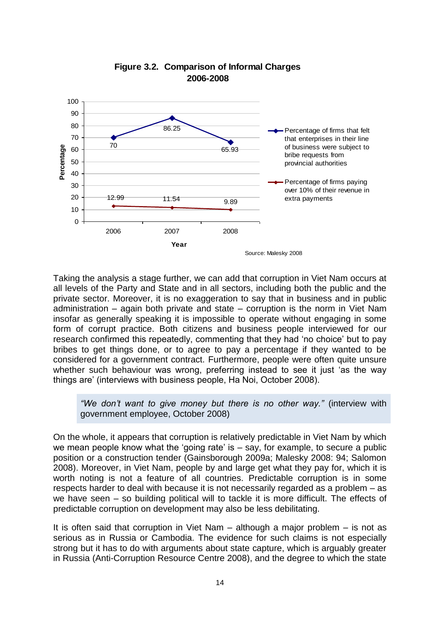

#### **Figure 3.2. Comparison of Informal Charges 2006-2008**

Taking the analysis a stage further, we can add that corruption in Viet Nam occurs at all levels of the Party and State and in all sectors, including both the public and the private sector. Moreover, it is no exaggeration to say that in business and in public administration – again both private and state – corruption is the norm in Viet Nam insofar as generally speaking it is impossible to operate without engaging in some form of corrupt practice. Both citizens and business people interviewed for our research confirmed this repeatedly, commenting that they had "no choice" but to pay bribes to get things done, or to agree to pay a percentage if they wanted to be considered for a government contract. Furthermore, people were often quite unsure whether such behaviour was wrong, preferring instead to see it just "as the way things are" (interviews with business people, Ha Noi, October 2008).

*"We don't want to give money but there is no other way."* (interview with government employee, October 2008)

On the whole, it appears that corruption is relatively predictable in Viet Nam by which we mean people know what the 'going rate' is  $-$  say, for example, to secure a public position or a construction tender (Gainsborough 2009a; Malesky 2008: 94; Salomon 2008). Moreover, in Viet Nam, people by and large get what they pay for, which it is worth noting is not a feature of all countries. Predictable corruption is in some respects harder to deal with because it is not necessarily regarded as a problem – as we have seen – so building political will to tackle it is more difficult. The effects of predictable corruption on development may also be less debilitating.

It is often said that corruption in Viet Nam – although a major problem – is not as serious as in Russia or Cambodia. The evidence for such claims is not especially strong but it has to do with arguments about state capture, which is arguably greater in Russia (Anti-Corruption Resource Centre 2008), and the degree to which the state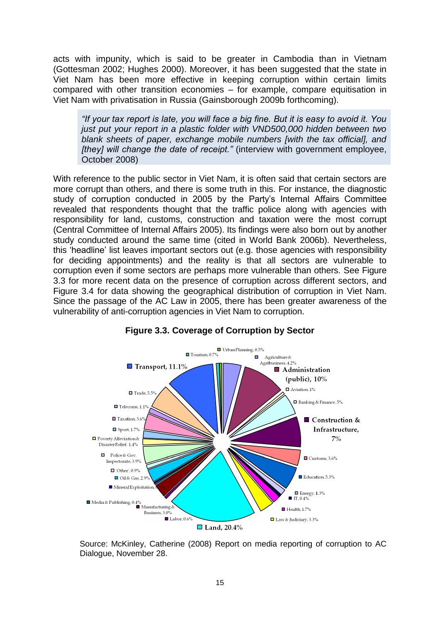acts with impunity, which is said to be greater in Cambodia than in Vietnam (Gottesman 2002; Hughes 2000). Moreover, it has been suggested that the state in Viet Nam has been more effective in keeping corruption within certain limits compared with other transition economies – for example, compare equitisation in Viet Nam with privatisation in Russia (Gainsborough 2009b forthcoming).

*"If your tax report is late, you will face a big fine. But it is easy to avoid it. You just put your report in a plastic folder with VND500,000 hidden between two blank sheets of paper, exchange mobile numbers [with the tax official], and [they] will change the date of receipt."* (interview with government employee, October 2008)

With reference to the public sector in Viet Nam, it is often said that certain sectors are more corrupt than others, and there is some truth in this. For instance, the diagnostic study of corruption conducted in 2005 by the Party"s Internal Affairs Committee revealed that respondents thought that the traffic police along with agencies with responsibility for land, customs, construction and taxation were the most corrupt (Central Committee of Internal Affairs 2005). Its findings were also born out by another study conducted around the same time (cited in World Bank 2006b). Nevertheless, this "headline" list leaves important sectors out (e.g. those agencies with responsibility for deciding appointments) and the reality is that all sectors are vulnerable to corruption even if some sectors are perhaps more vulnerable than others. See Figure 3.3 for more recent data on the presence of corruption across different sectors, and Figure 3.4 for data showing the geographical distribution of corruption in Viet Nam. Since the passage of the AC Law in 2005, there has been greater awareness of the vulnerability of anti-corruption agencies in Viet Nam to corruption.



#### **Figure 3.3. Coverage of Corruption by Sector**

Source: McKinley, Catherine (2008) Report on media reporting of corruption to AC Dialogue, November 28.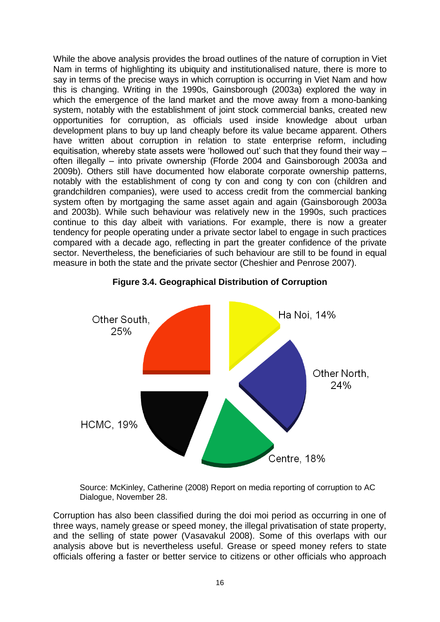While the above analysis provides the broad outlines of the nature of corruption in Viet Nam in terms of highlighting its ubiquity and institutionalised nature, there is more to say in terms of the precise ways in which corruption is occurring in Viet Nam and how this is changing. Writing in the 1990s, Gainsborough (2003a) explored the way in which the emergence of the land market and the move away from a mono-banking system, notably with the establishment of joint stock commercial banks, created new opportunities for corruption, as officials used inside knowledge about urban development plans to buy up land cheaply before its value became apparent. Others have written about corruption in relation to state enterprise reform, including equitisation, whereby state assets were 'hollowed out' such that they found their way – often illegally – into private ownership (Fforde 2004 and Gainsborough 2003a and 2009b). Others still have documented how elaborate corporate ownership patterns, notably with the establishment of cong ty con and cong ty con con (children and grandchildren companies), were used to access credit from the commercial banking system often by mortgaging the same asset again and again (Gainsborough 2003a and 2003b). While such behaviour was relatively new in the 1990s, such practices continue to this day albeit with variations. For example, there is now a greater tendency for people operating under a private sector label to engage in such practices compared with a decade ago, reflecting in part the greater confidence of the private sector. Nevertheless, the beneficiaries of such behaviour are still to be found in equal measure in both the state and the private sector (Cheshier and Penrose 2007).



**Figure 3.4. Geographical Distribution of Corruption**

Source: McKinley, Catherine (2008) Report on media reporting of corruption to AC Dialogue, November 28.

Corruption has also been classified during the doi moi period as occurring in one of three ways, namely grease or speed money, the illegal privatisation of state property, and the selling of state power (Vasavakul 2008). Some of this overlaps with our analysis above but is nevertheless useful. Grease or speed money refers to state officials offering a faster or better service to citizens or other officials who approach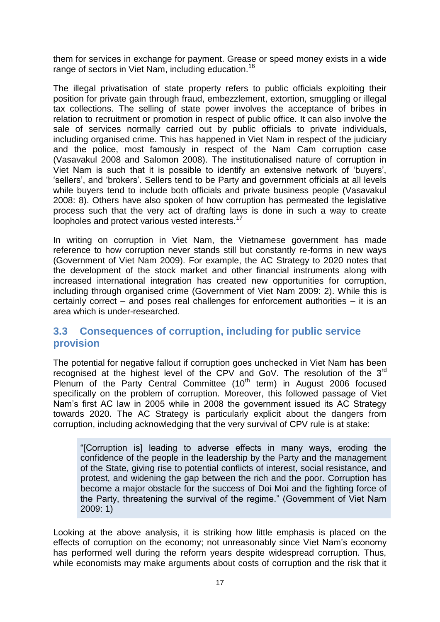them for services in exchange for payment. Grease or speed money exists in a wide range of sectors in Viet Nam, including education.<sup>16</sup>

The illegal privatisation of state property refers to public officials exploiting their position for private gain through fraud, embezzlement, extortion, smuggling or illegal tax collections. The selling of state power involves the acceptance of bribes in relation to recruitment or promotion in respect of public office. It can also involve the sale of services normally carried out by public officials to private individuals, including organised crime. This has happened in Viet Nam in respect of the judiciary and the police, most famously in respect of the Nam Cam corruption case (Vasavakul 2008 and Salomon 2008). The institutionalised nature of corruption in Viet Nam is such that it is possible to identify an extensive network of "buyers", "sellers", and "brokers". Sellers tend to be Party and government officials at all levels while buyers tend to include both officials and private business people (Vasavakul 2008: 8). Others have also spoken of how corruption has permeated the legislative process such that the very act of drafting laws is done in such a way to create loopholes and protect various vested interests.<sup>17</sup>

In writing on corruption in Viet Nam, the Vietnamese government has made reference to how corruption never stands still but constantly re-forms in new ways (Government of Viet Nam 2009). For example, the AC Strategy to 2020 notes that the development of the stock market and other financial instruments along with increased international integration has created new opportunities for corruption, including through organised crime (Government of Viet Nam 2009: 2). While this is certainly correct – and poses real challenges for enforcement authorities – it is an area which is under-researched.

### <span id="page-20-0"></span>**3.3 Consequences of corruption, including for public service provision**

The potential for negative fallout if corruption goes unchecked in Viet Nam has been recognised at the highest level of the CPV and GoV. The resolution of the 3<sup>rd</sup> Plenum of the Party Central Committee  $(10<sup>th</sup>$  term) in August 2006 focused specifically on the problem of corruption. Moreover, this followed passage of Viet Nam"s first AC law in 2005 while in 2008 the government issued its AC Strategy towards 2020. The AC Strategy is particularly explicit about the dangers from corruption, including acknowledging that the very survival of CPV rule is at stake:

"[Corruption is] leading to adverse effects in many ways, eroding the confidence of the people in the leadership by the Party and the management of the State, giving rise to potential conflicts of interest, social resistance, and protest, and widening the gap between the rich and the poor. Corruption has become a major obstacle for the success of Doi Moi and the fighting force of the Party, threatening the survival of the regime." (Government of Viet Nam 2009: 1)

Looking at the above analysis, it is striking how little emphasis is placed on the effects of corruption on the economy; not unreasonably since Viet Nam"s economy has performed well during the reform years despite widespread corruption. Thus, while economists may make arguments about costs of corruption and the risk that it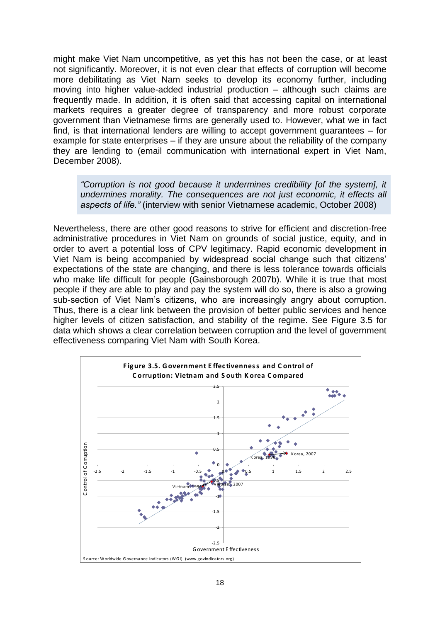might make Viet Nam uncompetitive, as yet this has not been the case, or at least not significantly. Moreover, it is not even clear that effects of corruption will become more debilitating as Viet Nam seeks to develop its economy further, including moving into higher value-added industrial production – although such claims are frequently made. In addition, it is often said that accessing capital on international markets requires a greater degree of transparency and more robust corporate government than Vietnamese firms are generally used to. However, what we in fact find, is that international lenders are willing to accept government guarantees – for example for state enterprises – if they are unsure about the reliability of the company they are lending to (email communication with international expert in Viet Nam, December 2008).

*"Corruption is not good because it undermines credibility [of the system], it undermines morality. The consequences are not just economic, it effects all aspects of life."* (interview with senior Vietnamese academic, October 2008)

Nevertheless, there are other good reasons to strive for efficient and discretion-free administrative procedures in Viet Nam on grounds of social justice, equity, and in order to avert a potential loss of CPV legitimacy. Rapid economic development in Viet Nam is being accompanied by widespread social change such that citizens" expectations of the state are changing, and there is less tolerance towards officials who make life difficult for people (Gainsborough 2007b). While it is true that most people if they are able to play and pay the system will do so, there is also a growing sub-section of Viet Nam"s citizens, who are increasingly angry about corruption. Thus, there is a clear link between the provision of better public services and hence effectiveness comparing Viet Nam with South Korea.

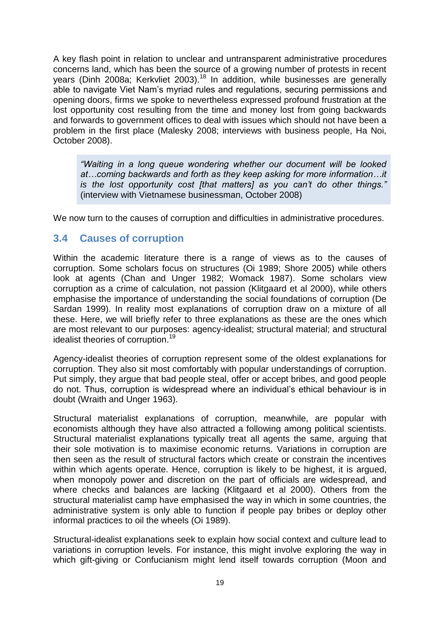A key flash point in relation to unclear and untransparent administrative procedures concerns land, which has been the source of a growing number of protests in recent years (Dinh 2008a; Kerkvliet 2003).<sup>18</sup> In addition, while businesses are generally able to navigate Viet Nam"s myriad rules and regulations, securing permissions and opening doors, firms we spoke to nevertheless expressed profound frustration at the lost opportunity cost resulting from the time and money lost from going backwards and forwards to government offices to deal with issues which should not have been a problem in the first place (Malesky 2008; interviews with business people, Ha Noi, October 2008).

*"Waiting in a long queue wondering whether our document will be looked at…coming backwards and forth as they keep asking for more information…it is the lost opportunity cost [that matters] as you can't do other things."* (interview with Vietnamese businessman, October 2008)

We now turn to the causes of corruption and difficulties in administrative procedures.

### <span id="page-22-0"></span>**3.4 Causes of corruption**

Within the academic literature there is a range of views as to the causes of corruption. Some scholars focus on structures (Oi 1989; Shore 2005) while others look at agents (Chan and Unger 1982; Womack 1987). Some scholars view corruption as a crime of calculation, not passion (Klitgaard et al 2000), while others emphasise the importance of understanding the social foundations of corruption (De Sardan 1999). In reality most explanations of corruption draw on a mixture of all these. Here, we will briefly refer to three explanations as these are the ones which are most relevant to our purposes: agency-idealist; structural material; and structural idealist theories of corruption.<sup>19</sup>

Agency-idealist theories of corruption represent some of the oldest explanations for corruption. They also sit most comfortably with popular understandings of corruption. Put simply, they argue that bad people steal, offer or accept bribes, and good people do not. Thus, corruption is widespread where an individual"s ethical behaviour is in doubt (Wraith and Unger 1963).

Structural materialist explanations of corruption, meanwhile, are popular with economists although they have also attracted a following among political scientists. Structural materialist explanations typically treat all agents the same, arguing that their sole motivation is to maximise economic returns. Variations in corruption are then seen as the result of structural factors which create or constrain the incentives within which agents operate. Hence, corruption is likely to be highest, it is argued, when monopoly power and discretion on the part of officials are widespread, and where checks and balances are lacking (Klitgaard et al 2000). Others from the structural materialist camp have emphasised the way in which in some countries, the administrative system is only able to function if people pay bribes or deploy other informal practices to oil the wheels (Oi 1989).

Structural-idealist explanations seek to explain how social context and culture lead to variations in corruption levels. For instance, this might involve exploring the way in which gift-giving or Confucianism might lend itself towards corruption (Moon and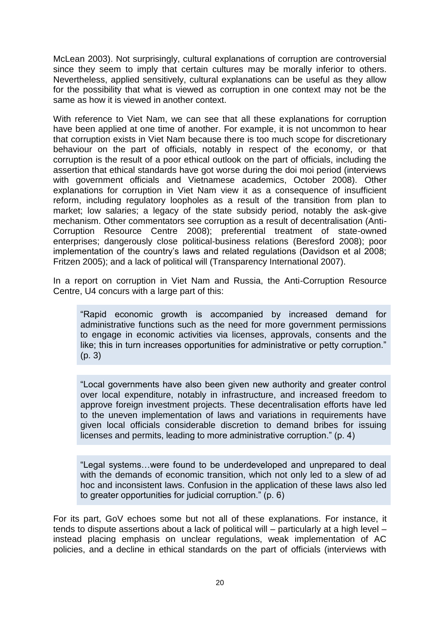McLean 2003). Not surprisingly, cultural explanations of corruption are controversial since they seem to imply that certain cultures may be morally inferior to others. Nevertheless, applied sensitively, cultural explanations can be useful as they allow for the possibility that what is viewed as corruption in one context may not be the same as how it is viewed in another context.

With reference to Viet Nam, we can see that all these explanations for corruption have been applied at one time of another. For example, it is not uncommon to hear that corruption exists in Viet Nam because there is too much scope for discretionary behaviour on the part of officials, notably in respect of the economy, or that corruption is the result of a poor ethical outlook on the part of officials, including the assertion that ethical standards have got worse during the doi moi period (interviews with government officials and Vietnamese academics, October 2008). Other explanations for corruption in Viet Nam view it as a consequence of insufficient reform, including regulatory loopholes as a result of the transition from plan to market; low salaries; a legacy of the state subsidy period, notably the ask-give mechanism. Other commentators see corruption as a result of decentralisation (Anti-Corruption Resource Centre 2008); preferential treatment of state-owned enterprises; dangerously close political-business relations (Beresford 2008); poor implementation of the country's laws and related regulations (Davidson et al 2008; Fritzen 2005); and a lack of political will (Transparency International 2007).

In a report on corruption in Viet Nam and Russia, the Anti-Corruption Resource Centre, U4 concurs with a large part of this:

"Rapid economic growth is accompanied by increased demand for administrative functions such as the need for more government permissions to engage in economic activities via licenses, approvals, consents and the like; this in turn increases opportunities for administrative or petty corruption." (p. 3)

"Local governments have also been given new authority and greater control over local expenditure, notably in infrastructure, and increased freedom to approve foreign investment projects. These decentralisation efforts have led to the uneven implementation of laws and variations in requirements have given local officials considerable discretion to demand bribes for issuing licenses and permits, leading to more administrative corruption." (p. 4)

"Legal systems…were found to be underdeveloped and unprepared to deal with the demands of economic transition, which not only led to a slew of ad hoc and inconsistent laws. Confusion in the application of these laws also led to greater opportunities for judicial corruption." (p. 6)

For its part, GoV echoes some but not all of these explanations. For instance, it tends to dispute assertions about a lack of political will – particularly at a high level – instead placing emphasis on unclear regulations, weak implementation of AC policies, and a decline in ethical standards on the part of officials (interviews with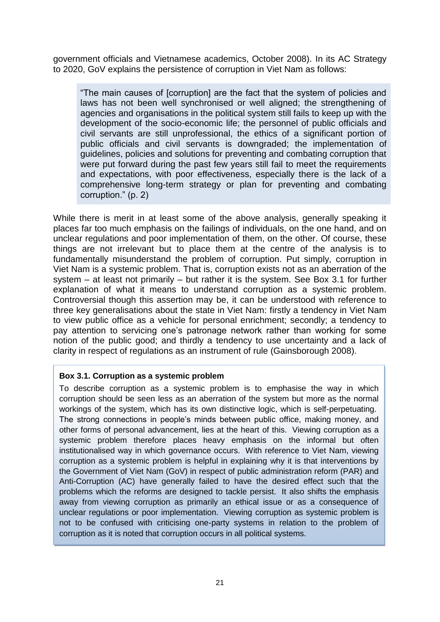government officials and Vietnamese academics, October 2008). In its AC Strategy to 2020, GoV explains the persistence of corruption in Viet Nam as follows:

"The main causes of [corruption] are the fact that the system of policies and laws has not been well synchronised or well aligned; the strengthening of agencies and organisations in the political system still fails to keep up with the development of the socio-economic life; the personnel of public officials and civil servants are still unprofessional, the ethics of a significant portion of public officials and civil servants is downgraded; the implementation of guidelines, policies and solutions for preventing and combating corruption that were put forward during the past few years still fail to meet the requirements and expectations, with poor effectiveness, especially there is the lack of a comprehensive long-term strategy or plan for preventing and combating corruption." (p. 2)

While there is merit in at least some of the above analysis, generally speaking it places far too much emphasis on the failings of individuals, on the one hand, and on unclear regulations and poor implementation of them, on the other. Of course, these things are not irrelevant but to place them at the centre of the analysis is to fundamentally misunderstand the problem of corruption. Put simply, corruption in Viet Nam is a systemic problem. That is, corruption exists not as an aberration of the system – at least not primarily – but rather it is the system. See Box 3.1 for further explanation of what it means to understand corruption as a systemic problem. Controversial though this assertion may be, it can be understood with reference to three key generalisations about the state in Viet Nam: firstly a tendency in Viet Nam to view public office as a vehicle for personal enrichment; secondly; a tendency to pay attention to servicing one"s patronage network rather than working for some notion of the public good; and thirdly a tendency to use uncertainty and a lack of clarity in respect of regulations as an instrument of rule (Gainsborough 2008).

#### **Box 3.1. Corruption as a systemic problem**

To describe corruption as a systemic problem is to emphasise the way in which corruption should be seen less as an aberration of the system but more as the normal workings of the system, which has its own distinctive logic, which is self-perpetuating. The strong connections in people"s minds between public office, making money, and other forms of personal advancement, lies at the heart of this. Viewing corruption as a systemic problem therefore places heavy emphasis on the informal but often institutionalised way in which governance occurs. With reference to Viet Nam, viewing corruption as a systemic problem is helpful in explaining why it is that interventions by the Government of Viet Nam (GoV) in respect of public administration reform (PAR) and Anti-Corruption (AC) have generally failed to have the desired effect such that the problems which the reforms are designed to tackle persist. It also shifts the emphasis away from viewing corruption as primarily an ethical issue or as a consequence of unclear regulations or poor implementation. Viewing corruption as systemic problem is not to be confused with criticising one-party systems in relation to the problem of corruption as it is noted that corruption occurs in all political systems.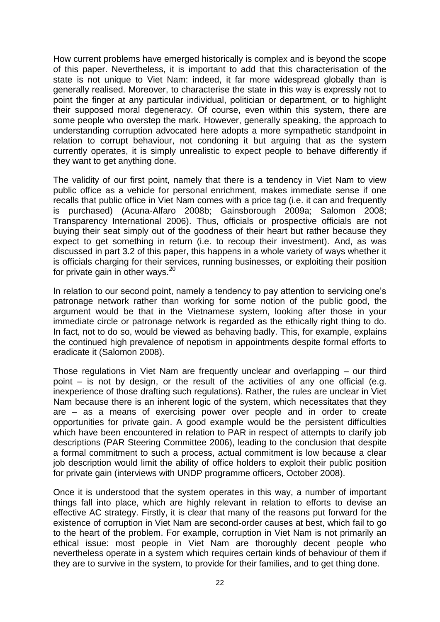How current problems have emerged historically is complex and is beyond the scope of this paper. Nevertheless, it is important to add that this characterisation of the state is not unique to Viet Nam: indeed, it far more widespread globally than is generally realised. Moreover, to characterise the state in this way is expressly not to point the finger at any particular individual, politician or department, or to highlight their supposed moral degeneracy. Of course, even within this system, there are some people who overstep the mark. However, generally speaking, the approach to understanding corruption advocated here adopts a more sympathetic standpoint in relation to corrupt behaviour, not condoning it but arguing that as the system currently operates, it is simply unrealistic to expect people to behave differently if they want to get anything done.

The validity of our first point, namely that there is a tendency in Viet Nam to view public office as a vehicle for personal enrichment, makes immediate sense if one recalls that public office in Viet Nam comes with a price tag (i.e. it can and frequently is purchased) (Acuna-Alfaro 2008b; Gainsborough 2009a; Salomon 2008; Transparency International 2006). Thus, officials or prospective officials are not buying their seat simply out of the goodness of their heart but rather because they expect to get something in return (i.e. to recoup their investment). And, as was discussed in part 3.2 of this paper, this happens in a whole variety of ways whether it is officials charging for their services, running businesses, or exploiting their position for private gain in other ways. $20$ 

In relation to our second point, namely a tendency to pay attention to servicing one's patronage network rather than working for some notion of the public good, the argument would be that in the Vietnamese system, looking after those in your immediate circle or patronage network is regarded as the ethically right thing to do. In fact, not to do so, would be viewed as behaving badly. This, for example, explains the continued high prevalence of nepotism in appointments despite formal efforts to eradicate it (Salomon 2008).

Those regulations in Viet Nam are frequently unclear and overlapping – our third point – is not by design, or the result of the activities of any one official (e.g. inexperience of those drafting such regulations). Rather, the rules are unclear in Viet Nam because there is an inherent logic of the system, which necessitates that they are – as a means of exercising power over people and in order to create opportunities for private gain. A good example would be the persistent difficulties which have been encountered in relation to PAR in respect of attempts to clarify job descriptions (PAR Steering Committee 2006), leading to the conclusion that despite a formal commitment to such a process, actual commitment is low because a clear job description would limit the ability of office holders to exploit their public position for private gain (interviews with UNDP programme officers, October 2008).

Once it is understood that the system operates in this way, a number of important things fall into place, which are highly relevant in relation to efforts to devise an effective AC strategy. Firstly, it is clear that many of the reasons put forward for the existence of corruption in Viet Nam are second-order causes at best, which fail to go to the heart of the problem. For example, corruption in Viet Nam is not primarily an ethical issue: most people in Viet Nam are thoroughly decent people who nevertheless operate in a system which requires certain kinds of behaviour of them if they are to survive in the system, to provide for their families, and to get thing done.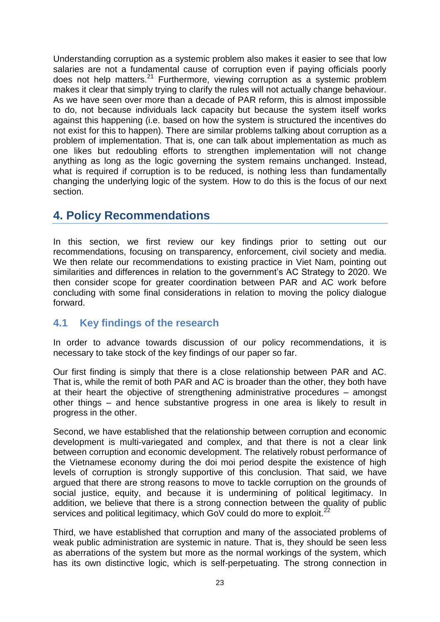Understanding corruption as a systemic problem also makes it easier to see that low salaries are not a fundamental cause of corruption even if paying officials poorly does not help matters.<sup>21</sup> Furthermore, viewing corruption as a systemic problem makes it clear that simply trying to clarify the rules will not actually change behaviour. As we have seen over more than a decade of PAR reform, this is almost impossible to do, not because individuals lack capacity but because the system itself works against this happening (i.e. based on how the system is structured the incentives do not exist for this to happen). There are similar problems talking about corruption as a problem of implementation. That is, one can talk about implementation as much as one likes but redoubling efforts to strengthen implementation will not change anything as long as the logic governing the system remains unchanged. Instead, what is required if corruption is to be reduced, is nothing less than fundamentally changing the underlying logic of the system. How to do this is the focus of our next section.

### <span id="page-26-0"></span>**4. Policy Recommendations**

In this section, we first review our key findings prior to setting out our recommendations, focusing on transparency, enforcement, civil society and media. We then relate our recommendations to existing practice in Viet Nam, pointing out similarities and differences in relation to the government"s AC Strategy to 2020. We then consider scope for greater coordination between PAR and AC work before concluding with some final considerations in relation to moving the policy dialogue forward.

### <span id="page-26-1"></span>**4.1 Key findings of the research**

In order to advance towards discussion of our policy recommendations, it is necessary to take stock of the key findings of our paper so far.

Our first finding is simply that there is a close relationship between PAR and AC. That is, while the remit of both PAR and AC is broader than the other, they both have at their heart the objective of strengthening administrative procedures – amongst other things – and hence substantive progress in one area is likely to result in progress in the other.

Second, we have established that the relationship between corruption and economic development is multi-variegated and complex, and that there is not a clear link between corruption and economic development. The relatively robust performance of the Vietnamese economy during the doi moi period despite the existence of high levels of corruption is strongly supportive of this conclusion. That said, we have argued that there are strong reasons to move to tackle corruption on the grounds of social justice, equity, and because it is undermining of political legitimacy. In addition, we believe that there is a strong connection between the quality of public services and political legitimacy, which GoV could do more to exploit.<sup>22</sup>

Third, we have established that corruption and many of the associated problems of weak public administration are systemic in nature. That is, they should be seen less as aberrations of the system but more as the normal workings of the system, which has its own distinctive logic, which is self-perpetuating. The strong connection in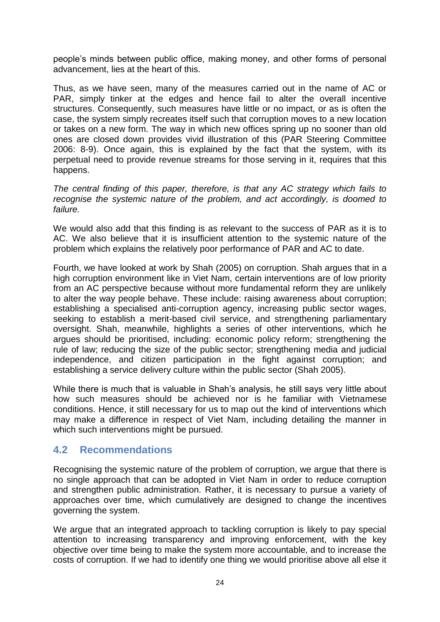people"s minds between public office, making money, and other forms of personal advancement, lies at the heart of this.

Thus, as we have seen, many of the measures carried out in the name of AC or PAR, simply tinker at the edges and hence fail to alter the overall incentive structures. Consequently, such measures have little or no impact, or as is often the case, the system simply recreates itself such that corruption moves to a new location or takes on a new form. The way in which new offices spring up no sooner than old ones are closed down provides vivid illustration of this (PAR Steering Committee 2006: 8-9). Once again, this is explained by the fact that the system, with its perpetual need to provide revenue streams for those serving in it, requires that this happens.

*The central finding of this paper, therefore, is that any AC strategy which fails to recognise the systemic nature of the problem, and act accordingly, is doomed to failure.*

We would also add that this finding is as relevant to the success of PAR as it is to AC. We also believe that it is insufficient attention to the systemic nature of the problem which explains the relatively poor performance of PAR and AC to date.

Fourth, we have looked at work by Shah (2005) on corruption. Shah argues that in a high corruption environment like in Viet Nam, certain interventions are of low priority from an AC perspective because without more fundamental reform they are unlikely to alter the way people behave. These include: raising awareness about corruption; establishing a specialised anti-corruption agency, increasing public sector wages, seeking to establish a merit-based civil service, and strengthening parliamentary oversight. Shah, meanwhile, highlights a series of other interventions, which he argues should be prioritised, including: economic policy reform; strengthening the rule of law; reducing the size of the public sector; strengthening media and judicial independence, and citizen participation in the fight against corruption; and establishing a service delivery culture within the public sector (Shah 2005).

While there is much that is valuable in Shah"s analysis, he still says very little about how such measures should be achieved nor is he familiar with Vietnamese conditions. Hence, it still necessary for us to map out the kind of interventions which may make a difference in respect of Viet Nam, including detailing the manner in which such interventions might be pursued.

### <span id="page-27-0"></span>**4.2 Recommendations**

Recognising the systemic nature of the problem of corruption, we argue that there is no single approach that can be adopted in Viet Nam in order to reduce corruption and strengthen public administration. Rather, it is necessary to pursue a variety of approaches over time, which cumulatively are designed to change the incentives governing the system.

We argue that an integrated approach to tackling corruption is likely to pay special attention to increasing transparency and improving enforcement, with the key objective over time being to make the system more accountable, and to increase the costs of corruption. If we had to identify one thing we would prioritise above all else it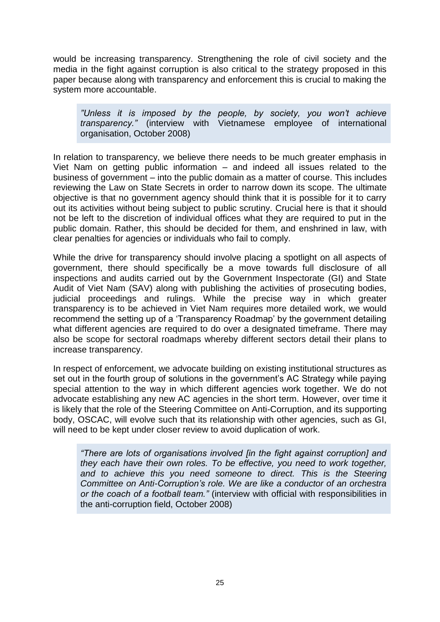would be increasing transparency. Strengthening the role of civil society and the media in the fight against corruption is also critical to the strategy proposed in this paper because along with transparency and enforcement this is crucial to making the system more accountable.

*"Unless it is imposed by the people, by society, you won't achieve transparency."* (interview with Vietnamese employee of international organisation, October 2008)

In relation to transparency, we believe there needs to be much greater emphasis in Viet Nam on getting public information – and indeed all issues related to the business of government – into the public domain as a matter of course. This includes reviewing the Law on State Secrets in order to narrow down its scope. The ultimate objective is that no government agency should think that it is possible for it to carry out its activities without being subject to public scrutiny. Crucial here is that it should not be left to the discretion of individual offices what they are required to put in the public domain. Rather, this should be decided for them, and enshrined in law, with clear penalties for agencies or individuals who fail to comply.

While the drive for transparency should involve placing a spotlight on all aspects of government, there should specifically be a move towards full disclosure of all inspections and audits carried out by the Government Inspectorate (GI) and State Audit of Viet Nam (SAV) along with publishing the activities of prosecuting bodies, judicial proceedings and rulings. While the precise way in which greater transparency is to be achieved in Viet Nam requires more detailed work, we would recommend the setting up of a "Transparency Roadmap" by the government detailing what different agencies are required to do over a designated timeframe. There may also be scope for sectoral roadmaps whereby different sectors detail their plans to increase transparency.

In respect of enforcement, we advocate building on existing institutional structures as set out in the fourth group of solutions in the government's AC Strategy while paying special attention to the way in which different agencies work together. We do not advocate establishing any new AC agencies in the short term. However, over time it is likely that the role of the Steering Committee on Anti-Corruption, and its supporting body, OSCAC, will evolve such that its relationship with other agencies, such as GI, will need to be kept under closer review to avoid duplication of work.

*"There are lots of organisations involved [in the fight against corruption] and they each have their own roles. To be effective, you need to work together, and to achieve this you need someone to direct. This is the Steering Committee on Anti-Corruption's role. We are like a conductor of an orchestra or the coach of a football team."* (interview with official with responsibilities in the anti-corruption field, October 2008)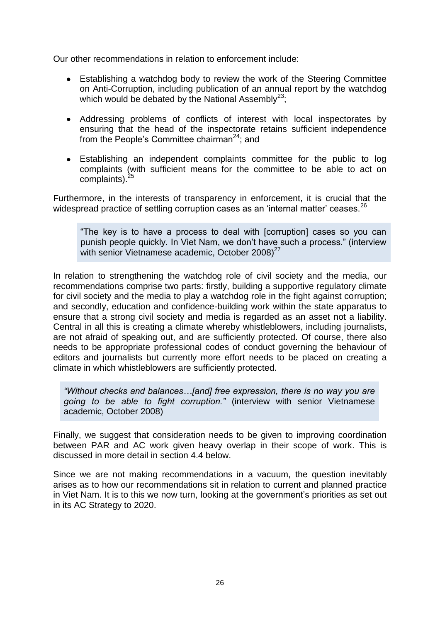Our other recommendations in relation to enforcement include:

- Establishing a watchdog body to review the work of the Steering Committee  $\bullet$ on Anti-Corruption, including publication of an annual report by the watchdog which would be debated by the National Assembly<sup>23</sup>:
- Addressing problems of conflicts of interest with local inspectorates by ensuring that the head of the inspectorate retains sufficient independence from the People's Committee chairman<sup>24</sup>; and
- Establishing an independent complaints committee for the public to log complaints (with sufficient means for the committee to be able to act on complaints).<sup>25</sup>

Furthermore, in the interests of transparency in enforcement, it is crucial that the widespread practice of settling corruption cases as an 'internal matter' ceases.<sup>26</sup>

"The key is to have a process to deal with [corruption] cases so you can punish people quickly. In Viet Nam, we don"t have such a process." (interview with senior Vietnamese academic, October  $2008$ <sup>27</sup>

In relation to strengthening the watchdog role of civil society and the media, our recommendations comprise two parts: firstly, building a supportive regulatory climate for civil society and the media to play a watchdog role in the fight against corruption; and secondly, education and confidence-building work within the state apparatus to ensure that a strong civil society and media is regarded as an asset not a liability. Central in all this is creating a climate whereby whistleblowers, including journalists, are not afraid of speaking out, and are sufficiently protected. Of course, there also needs to be appropriate professional codes of conduct governing the behaviour of editors and journalists but currently more effort needs to be placed on creating a climate in which whistleblowers are sufficiently protected.

*"Without checks and balances…[and] free expression, there is no way you are going to be able to fight corruption."* (interview with senior Vietnamese academic, October 2008)

Finally, we suggest that consideration needs to be given to improving coordination between PAR and AC work given heavy overlap in their scope of work. This is discussed in more detail in section 4.4 below.

Since we are not making recommendations in a vacuum, the question inevitably arises as to how our recommendations sit in relation to current and planned practice in Viet Nam. It is to this we now turn, looking at the government's priorities as set out in its AC Strategy to 2020.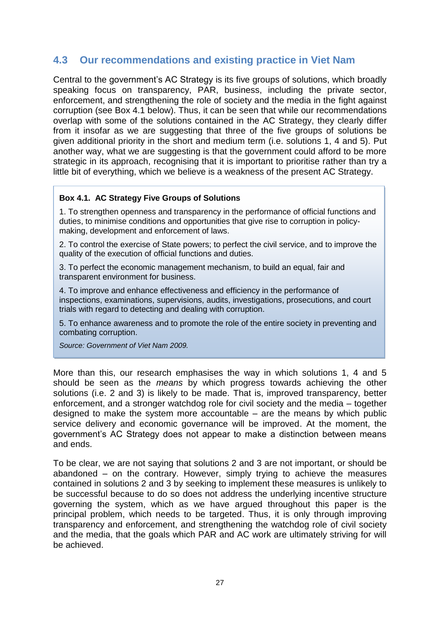### <span id="page-30-0"></span>**4.3 Our recommendations and existing practice in Viet Nam**

Central to the government"s AC Strategy is its five groups of solutions, which broadly speaking focus on transparency, PAR, business, including the private sector, enforcement, and strengthening the role of society and the media in the fight against corruption (see Box 4.1 below). Thus, it can be seen that while our recommendations overlap with some of the solutions contained in the AC Strategy, they clearly differ from it insofar as we are suggesting that three of the five groups of solutions be given additional priority in the short and medium term (i.e. solutions 1, 4 and 5). Put another way, what we are suggesting is that the government could afford to be more strategic in its approach, recognising that it is important to prioritise rather than try a little bit of everything, which we believe is a weakness of the present AC Strategy.

#### **Box 4.1. AC Strategy Five Groups of Solutions**

1. To strengthen openness and transparency in the performance of official functions and duties, to minimise conditions and opportunities that give rise to corruption in policymaking, development and enforcement of laws.

2. To control the exercise of State powers; to perfect the civil service, and to improve the quality of the execution of official functions and duties.

3. To perfect the economic management mechanism, to build an equal, fair and transparent environment for business.

4. To improve and enhance effectiveness and efficiency in the performance of inspections, examinations, supervisions, audits, investigations, prosecutions, and court trials with regard to detecting and dealing with corruption.

5. To enhance awareness and to promote the role of the entire society in preventing and combating corruption.

*Source: Government of Viet Nam 2009.*

More than this, our research emphasises the way in which solutions 1, 4 and 5 should be seen as the *means* by which progress towards achieving the other solutions (i.e. 2 and 3) is likely to be made. That is, improved transparency, better enforcement, and a stronger watchdog role for civil society and the media – together designed to make the system more accountable – are the means by which public service delivery and economic governance will be improved. At the moment, the government"s AC Strategy does not appear to make a distinction between means and ends.

To be clear, we are not saying that solutions 2 and 3 are not important, or should be abandoned – on the contrary. However, simply trying to achieve the measures contained in solutions 2 and 3 by seeking to implement these measures is unlikely to be successful because to do so does not address the underlying incentive structure governing the system, which as we have argued throughout this paper is the principal problem, which needs to be targeted. Thus, it is only through improving transparency and enforcement, and strengthening the watchdog role of civil society and the media, that the goals which PAR and AC work are ultimately striving for will be achieved.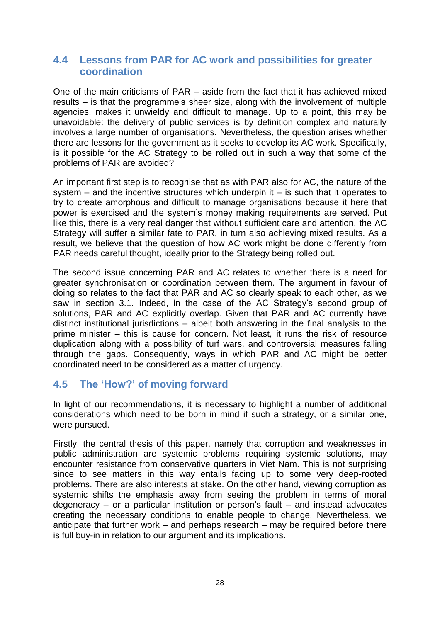### <span id="page-31-0"></span>**4.4 Lessons from PAR for AC work and possibilities for greater coordination**

One of the main criticisms of PAR – aside from the fact that it has achieved mixed results – is that the programme"s sheer size, along with the involvement of multiple agencies, makes it unwieldy and difficult to manage. Up to a point, this may be unavoidable: the delivery of public services is by definition complex and naturally involves a large number of organisations. Nevertheless, the question arises whether there are lessons for the government as it seeks to develop its AC work. Specifically, is it possible for the AC Strategy to be rolled out in such a way that some of the problems of PAR are avoided?

An important first step is to recognise that as with PAR also for AC, the nature of the system  $-$  and the incentive structures which underpin it  $-$  is such that it operates to try to create amorphous and difficult to manage organisations because it here that power is exercised and the system"s money making requirements are served. Put like this, there is a very real danger that without sufficient care and attention, the AC Strategy will suffer a similar fate to PAR, in turn also achieving mixed results. As a result, we believe that the question of how AC work might be done differently from PAR needs careful thought, ideally prior to the Strategy being rolled out.

The second issue concerning PAR and AC relates to whether there is a need for greater synchronisation or coordination between them. The argument in favour of doing so relates to the fact that PAR and AC so clearly speak to each other, as we saw in section 3.1. Indeed, in the case of the AC Strategy"s second group of solutions, PAR and AC explicitly overlap. Given that PAR and AC currently have distinct institutional jurisdictions – albeit both answering in the final analysis to the prime minister – this is cause for concern. Not least, it runs the risk of resource duplication along with a possibility of turf wars, and controversial measures falling through the gaps. Consequently, ways in which PAR and AC might be better coordinated need to be considered as a matter of urgency.

### <span id="page-31-1"></span>**4.5 The 'How?' of moving forward**

In light of our recommendations, it is necessary to highlight a number of additional considerations which need to be born in mind if such a strategy, or a similar one, were pursued.

Firstly, the central thesis of this paper, namely that corruption and weaknesses in public administration are systemic problems requiring systemic solutions, may encounter resistance from conservative quarters in Viet Nam. This is not surprising since to see matters in this way entails facing up to some very deep-rooted problems. There are also interests at stake. On the other hand, viewing corruption as systemic shifts the emphasis away from seeing the problem in terms of moral degeneracy – or a particular institution or person"s fault – and instead advocates creating the necessary conditions to enable people to change. Nevertheless, we anticipate that further work – and perhaps research – may be required before there is full buy-in in relation to our argument and its implications.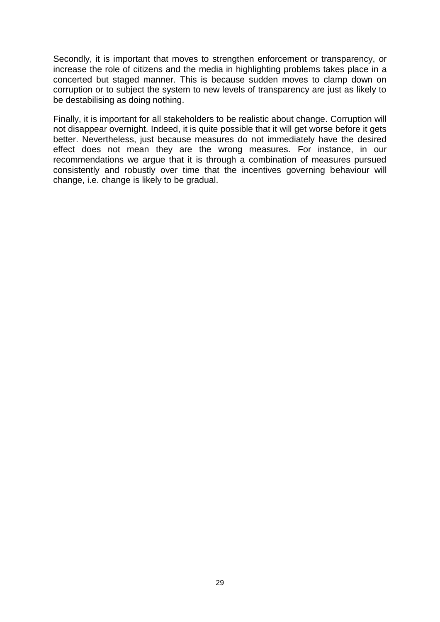Secondly, it is important that moves to strengthen enforcement or transparency, or increase the role of citizens and the media in highlighting problems takes place in a concerted but staged manner. This is because sudden moves to clamp down on corruption or to subject the system to new levels of transparency are just as likely to be destabilising as doing nothing.

Finally, it is important for all stakeholders to be realistic about change. Corruption will not disappear overnight. Indeed, it is quite possible that it will get worse before it gets better. Nevertheless, just because measures do not immediately have the desired effect does not mean they are the wrong measures. For instance, in our recommendations we argue that it is through a combination of measures pursued consistently and robustly over time that the incentives governing behaviour will change, i.e. change is likely to be gradual.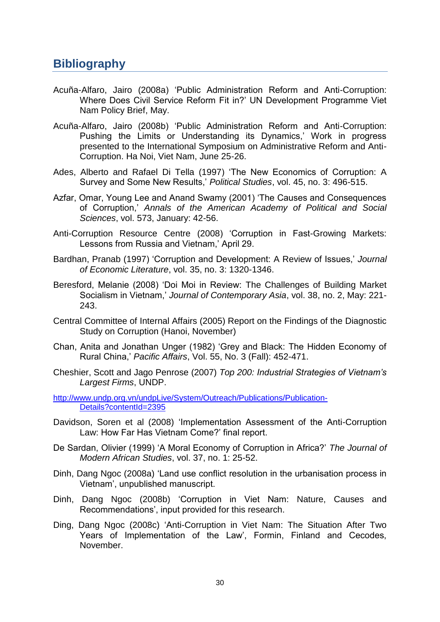### <span id="page-33-0"></span>**Bibliography**

- Acuña-Alfaro, Jairo (2008a) "Public Administration Reform and Anti-Corruption: Where Does Civil Service Reform Fit in?" UN Development Programme Viet Nam Policy Brief, May.
- Acuña-Alfaro, Jairo (2008b) "Public Administration Reform and Anti-Corruption: Pushing the Limits or Understanding its Dynamics,' Work in progress presented to the International Symposium on Administrative Reform and Anti-Corruption. Ha Noi, Viet Nam, June 25-26.
- Ades, Alberto and Rafael Di Tella (1997) "The New Economics of Corruption: A Survey and Some New Results," *Political Studies*, vol. 45, no. 3: 496-515.
- Azfar, Omar, Young Lee and Anand Swamy (2001) "The Causes and Consequences of Corruption," *Annals of the American Academy of Political and Social Sciences*, vol. 573, January: 42-56.
- Anti-Corruption Resource Centre (2008) "Corruption in Fast-Growing Markets: Lessons from Russia and Vietnam,' April 29.
- Bardhan, Pranab (1997) "Corruption and Development: A Review of Issues," *Journal of Economic Literature*, vol. 35, no. 3: 1320-1346.
- Beresford, Melanie (2008) "Doi Moi in Review: The Challenges of Building Market Socialism in Vietnam," *Journal of Contemporary Asia*, vol. 38, no. 2, May: 221- 243.
- Central Committee of Internal Affairs (2005) Report on the Findings of the Diagnostic Study on Corruption (Hanoi, November)
- Chan, Anita and Jonathan Unger (1982) "Grey and Black: The Hidden Economy of Rural China," *Pacific Affairs*, Vol. 55, No. 3 (Fall): 452-471.
- Cheshier, Scott and Jago Penrose (2007) *Top 200: Industrial Strategies of Vietnam's Largest Firms*, UNDP.

[http://www.undp.org.vn/undpLive/System/Outreach/Publications/Publication-](http://www.undp.org.vn/undpLive/System/Outreach/Publications/Publication-Details?contentId=2395)[Details?contentId=2395](http://www.undp.org.vn/undpLive/System/Outreach/Publications/Publication-Details?contentId=2395)

- Davidson, Soren et al (2008) "Implementation Assessment of the Anti-Corruption Law: How Far Has Vietnam Come?" final report.
- De Sardan, Olivier (1999) "A Moral Economy of Corruption in Africa?" *The Journal of Modern African Studies*, vol. 37, no. 1: 25-52.
- Dinh, Dang Ngoc (2008a) "Land use conflict resolution in the urbanisation process in Vietnam", unpublished manuscript.
- Dinh, Dang Ngoc (2008b) "Corruption in Viet Nam: Nature, Causes and Recommendations", input provided for this research.
- Ding, Dang Ngoc (2008c) "Anti-Corruption in Viet Nam: The Situation After Two Years of Implementation of the Law', Formin, Finland and Cecodes. November.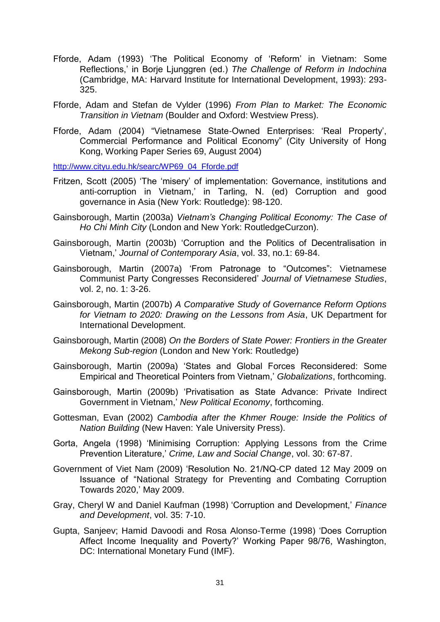- Fforde, Adam (1993) "The Political Economy of "Reform" in Vietnam: Some Reflections," in Borje Ljunggren (ed.) *The Challenge of Reform in Indochina* (Cambridge, MA: Harvard Institute for International Development, 1993): 293- 325.
- Fforde, Adam and Stefan de Vylder (1996) *From Plan to Market: The Economic Transition in Vietnam* (Boulder and Oxford: Westview Press).
- Fforde, Adam (2004) "Vietnamese State-Owned Enterprises: "Real Property", Commercial Performance and Political Economy" (City University of Hong Kong, Working Paper Series 69, August 2004)

[http://www.cityu.edu.hk/searc/WP69\\_04\\_Fforde.pdf](http://www.cityu.edu.hk/searc/WP69_04_Fforde.pdf)

- Fritzen, Scott (2005) "The "misery" of implementation: Governance, institutions and anti-corruption in Vietnam,' in Tarling, N. (ed) Corruption and good governance in Asia (New York: Routledge): 98-120.
- Gainsborough, Martin (2003a) *Vietnam's Changing Political Economy: The Case of Ho Chi Minh City* (London and New York: RoutledgeCurzon).
- Gainsborough, Martin (2003b) "Corruption and the Politics of Decentralisation in Vietnam," *Journal of Contemporary Asia*, vol. 33, no.1: 69-84.
- Gainsborough, Martin (2007a) "From Patronage to "Outcomes": Vietnamese Communist Party Congresses Reconsidered" *Journal of Vietnamese Studies*, vol. 2, no. 1: 3-26.
- Gainsborough, Martin (2007b) *A Comparative Study of Governance Reform Options for Vietnam to 2020: Drawing on the Lessons from Asia*, UK Department for International Development.
- Gainsborough, Martin (2008) *On the Borders of State Power: Frontiers in the Greater Mekong Sub-region* (London and New York: Routledge)
- Gainsborough, Martin (2009a) "States and Global Forces Reconsidered: Some Empirical and Theoretical Pointers from Vietnam," *Globalizations*, forthcoming.
- Gainsborough, Martin (2009b) "Privatisation as State Advance: Private Indirect Government in Vietnam," *New Political Economy*, forthcoming.
- Gottesman, Evan (2002) *Cambodia after the Khmer Rouge: Inside the Politics of Nation Building* (New Haven: Yale University Press).
- Gorta, Angela (1998) "Minimising Corruption: Applying Lessons from the Crime Prevention Literature," *Crime, Law and Social Change*, vol. 30: 67-87.
- Government of Viet Nam (2009) "Resolution No. 21/NQ-CP dated 12 May 2009 on Issuance of "National Strategy for Preventing and Combating Corruption Towards 2020," May 2009.
- Gray, Cheryl W and Daniel Kaufman (1998) "Corruption and Development," *Finance and Development*, vol. 35: 7-10.
- Gupta, Sanjeev; Hamid Davoodi and Rosa Alonso-Terme (1998) "Does Corruption Affect Income Inequality and Poverty?" Working Paper 98/76, Washington, DC: International Monetary Fund (IMF).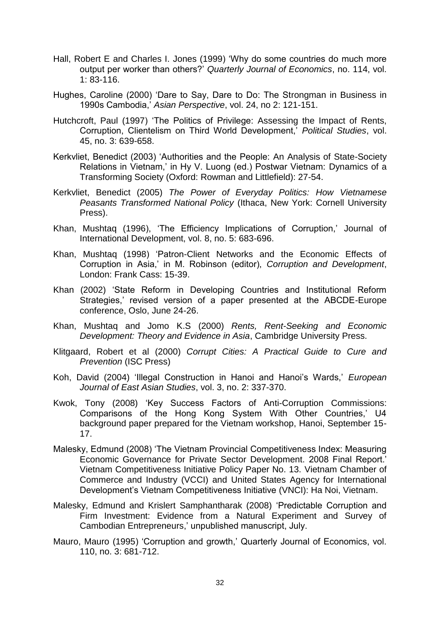- Hall, Robert E and Charles I. Jones (1999) "Why do some countries do much more output per worker than others?" *Quarterly Journal of Economics*, no. 114, vol. 1: 83-116.
- Hughes, Caroline (2000) "Dare to Say, Dare to Do: The Strongman in Business in 1990s Cambodia," *Asian Perspective*, vol. 24, no 2: 121-151.
- Hutchcroft, Paul (1997) "The Politics of Privilege: Assessing the Impact of Rents, Corruption, Clientelism on Third World Development," *Political Studies*, vol. 45, no. 3: 639-658.
- Kerkvliet, Benedict (2003) "Authorities and the People: An Analysis of State-Society Relations in Vietnam," in Hy V. Luong (ed.) Postwar Vietnam: Dynamics of a Transforming Society (Oxford: Rowman and Littlefield): 27-54.
- Kerkvliet, Benedict (2005) *The Power of Everyday Politics: How Vietnamese Peasants Transformed National Policy* (Ithaca, New York: Cornell University Press).
- Khan, Mushtaq (1996), "The Efficiency Implications of Corruption," Journal of International Development, vol. 8, no. 5: 683-696.
- Khan, Mushtaq (1998) "Patron-Client Networks and the Economic Effects of Corruption in Asia," in M. Robinson (editor), *Corruption and Development*, London: Frank Cass: 15-39.
- Khan (2002) "State Reform in Developing Countries and Institutional Reform Strategies,' revised version of a paper presented at the ABCDE-Europe conference, Oslo, June 24-26.
- Khan, Mushtaq and Jomo K.S (2000) *Rents, Rent-Seeking and Economic Development: Theory and Evidence in Asia*, Cambridge University Press.
- Klitgaard, Robert et al (2000) *Corrupt Cities: A Practical Guide to Cure and Prevention* (ISC Press)
- Koh, David (2004) "Illegal Construction in Hanoi and Hanoi"s Wards," *European Journal of East Asian Studies*, vol. 3, no. 2: 337-370.
- Kwok, Tony (2008) "Key Success Factors of Anti-Corruption Commissions: Comparisons of the Hong Kong System With Other Countries,' U4 background paper prepared for the Vietnam workshop, Hanoi, September 15- 17.
- Malesky, Edmund (2008) "The Vietnam Provincial Competitiveness Index: Measuring Economic Governance for Private Sector Development. 2008 Final Report." Vietnam Competitiveness Initiative Policy Paper No. 13. Vietnam Chamber of Commerce and Industry (VCCI) and United States Agency for International Development"s Vietnam Competitiveness Initiative (VNCI): Ha Noi, Vietnam.
- Malesky, Edmund and Krislert Samphantharak (2008) "Predictable Corruption and Firm Investment: Evidence from a Natural Experiment and Survey of Cambodian Entrepreneurs,' unpublished manuscript, July.
- Mauro, Mauro (1995) 'Corruption and growth,' Quarterly Journal of Economics, vol. 110, no. 3: 681-712.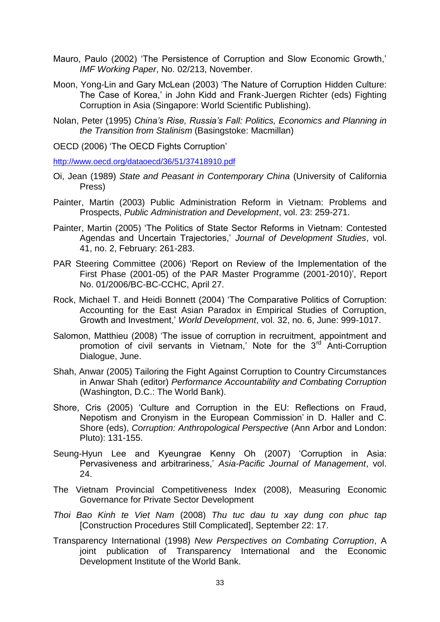- Mauro, Paulo (2002) "The Persistence of Corruption and Slow Economic Growth," *IMF Working Paper*, No. 02/213, November.
- Moon, Yong-Lin and Gary McLean (2003) "The Nature of Corruption Hidden Culture: The Case of Korea," in John Kidd and Frank-Juergen Richter (eds) Fighting Corruption in Asia (Singapore: World Scientific Publishing).
- Nolan, Peter (1995) *China's Rise, Russia's Fall: Politics, Economics and Planning in the Transition from Stalinism* (Basingstoke: Macmillan)
- OECD (2006) "The OECD Fights Corruption"

<http://www.oecd.org/dataoecd/36/51/37418910.pdf>

- Oi, Jean (1989) *State and Peasant in Contemporary China* (University of California Press)
- Painter, Martin (2003) Public Administration Reform in Vietnam: Problems and Prospects, *Public Administration and Development*, vol. 23: 259-271.
- Painter, Martin (2005) "The Politics of State Sector Reforms in Vietnam: Contested Agendas and Uncertain Trajectories," *Journal of Development Studies*, vol. 41, no. 2, February: 261-283.
- PAR Steering Committee (2006) "Report on Review of the Implementation of the First Phase (2001-05) of the PAR Master Programme (2001-2010)", Report No. 01/2006/BC-BC-CCHC, April 27.
- Rock, Michael T. and Heidi Bonnett (2004) "The Comparative Politics of Corruption: Accounting for the East Asian Paradox in Empirical Studies of Corruption, Growth and Investment," *World Development*, vol. 32, no. 6, June: 999-1017.
- Salomon, Matthieu (2008) "The issue of corruption in recruitment, appointment and promotion of civil servants in Vietnam,' Note for the 3<sup>rd</sup> Anti-Corruption Dialogue, June.
- Shah, Anwar (2005) Tailoring the Fight Against Corruption to Country Circumstances in Anwar Shah (editor) *Performance Accountability and Combating Corruption*  (Washington, D.C.: The World Bank).
- Shore, Cris (2005) "Culture and Corruption in the EU: Reflections on Fraud, Nepotism and Cronyism in the European Commission" in D. Haller and C. Shore (eds), *Corruption: Anthropological Perspective* (Ann Arbor and London: Pluto): 131-155.
- Seung-Hyun Lee and Kyeungrae Kenny Oh (2007) "Corruption in Asia: Pervasiveness and arbitrariness," *Asia-Pacific Journal of Management*, vol. 24.
- The Vietnam Provincial Competitiveness Index (2008), Measuring Economic Governance for Private Sector Development
- *Thoi Bao Kinh te Viet Nam* (2008) *Thu tuc dau tu xay dung con phuc tap* [Construction Procedures Still Complicated], September 22: 17.
- Transparency International (1998) *New Perspectives on Combating Corruption*, A joint publication of Transparency International and the Economic Development Institute of the World Bank.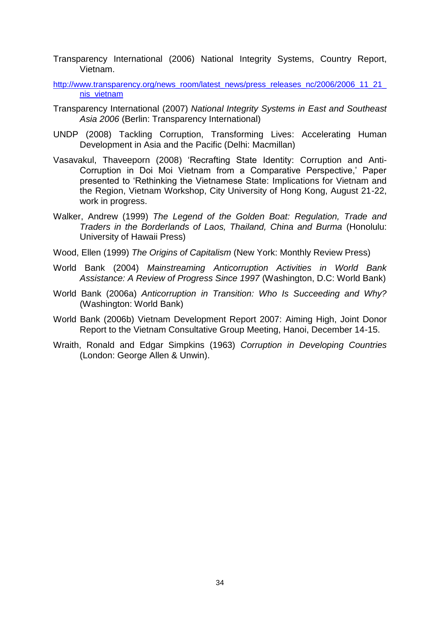- Transparency International (2006) National Integrity Systems, Country Report, Vietnam.
- http://www.transparency.org/news\_room/latest\_news/press\_releases\_nc/2006/2006\_11\_21 [nis\\_vietnam](http://www.transparency.org/news_room/latest_news/press_releases_nc/2006/2006_11_21_nis_vietnam)
- Transparency International (2007) *National Integrity Systems in East and Southeast Asia 2006* (Berlin: Transparency International)
- UNDP (2008) Tackling Corruption, Transforming Lives: Accelerating Human Development in Asia and the Pacific (Delhi: Macmillan)
- Vasavakul, Thaveeporn (2008) "Recrafting State Identity: Corruption and Anti-Corruption in Doi Moi Vietnam from a Comparative Perspective," Paper presented to "Rethinking the Vietnamese State: Implications for Vietnam and the Region, Vietnam Workshop, City University of Hong Kong, August 21-22, work in progress.
- Walker, Andrew (1999) *The Legend of the Golden Boat: Regulation, Trade and Traders in the Borderlands of Laos, Thailand, China and Burma* (Honolulu: University of Hawaii Press)
- Wood, Ellen (1999) *The Origins of Capitalism* (New York: Monthly Review Press)
- World Bank (2004) *Mainstreaming Anticorruption Activities in World Bank Assistance: A Review of Progress Since 1997* (Washington, D.C: World Bank)
- World Bank (2006a) *Anticorruption in Transition: Who Is Succeeding and Why?* (Washington: World Bank)
- World Bank (2006b) Vietnam Development Report 2007: Aiming High, Joint Donor Report to the Vietnam Consultative Group Meeting, Hanoi, December 14-15.
- Wraith, Ronald and Edgar Simpkins (1963) *Corruption in Developing Countries* (London: George Allen & Unwin).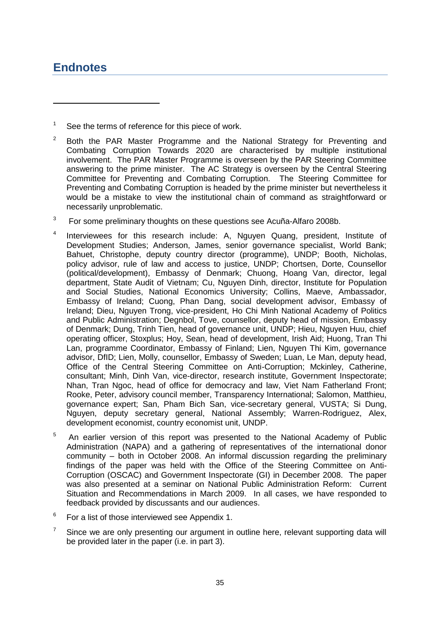# <span id="page-38-0"></span>**Endnotes**

1

- 2 Both the PAR Master Programme and the National Strategy for Preventing and Combating Corruption Towards 2020 are characterised by multiple institutional involvement. The PAR Master Programme is overseen by the PAR Steering Committee answering to the prime minister. The AC Strategy is overseen by the Central Steering Committee for Preventing and Combating Corruption. The Steering Committee for Preventing and Combating Corruption is headed by the prime minister but nevertheless it would be a mistake to view the institutional chain of command as straightforward or necessarily unproblematic.
- $3$  For some preliminary thoughts on these questions see Acuña-Alfaro 2008b.
- 4 Interviewees for this research include: A, Nguyen Quang, president, Institute of Development Studies; Anderson, James, senior governance specialist, World Bank; Bahuet, Christophe, deputy country director (programme), UNDP; Booth, Nicholas, policy advisor, rule of law and access to justice, UNDP; Chortsen, Dorte, Counsellor (political/development), Embassy of Denmark; Chuong, Hoang Van, director, legal department, State Audit of Vietnam; Cu, Nguyen Dinh, director, Institute for Population and Social Studies, National Economics University; Collins, Maeve, Ambassador, Embassy of Ireland; Cuong, Phan Dang, social development advisor, Embassy of Ireland; Dieu, Nguyen Trong, vice-president, Ho Chi Minh National Academy of Politics and Public Administration; Degnbol, Tove, counsellor, deputy head of mission, Embassy of Denmark; Dung, Trinh Tien, head of governance unit, UNDP; Hieu, Nguyen Huu, chief operating officer, Stoxplus; Hoy, Sean, head of development, Irish Aid; Huong, Tran Thi Lan, programme Coordinator, Embassy of Finland; Lien, Nguyen Thi Kim, governance advisor, DfID; Lien, Molly, counsellor, Embassy of Sweden; Luan, Le Man, deputy head, Office of the Central Steering Committee on Anti-Corruption; Mckinley, Catherine, consultant; Minh, Dinh Van, vice-director, research institute, Government Inspectorate; Nhan, Tran Ngoc, head of office for democracy and law, Viet Nam Fatherland Front; Rooke, Peter, advisory council member, Transparency International; Salomon, Matthieu, governance expert; San, Pham Bich San, vice-secretary general, VUSTA; Si Dung, Nguyen, deputy secretary general, National Assembly; Warren-Rodriguez, Alex, development economist, country economist unit, UNDP.
- $5$  An earlier version of this report was presented to the National Academy of Public Administration (NAPA) and a gathering of representatives of the international donor community – both in October 2008. An informal discussion regarding the preliminary findings of the paper was held with the Office of the Steering Committee on Anti-Corruption (OSCAC) and Government Inspectorate (GI) in December 2008. The paper was also presented at a seminar on National Public Administration Reform: Current Situation and Recommendations in March 2009. In all cases, we have responded to feedback provided by discussants and our audiences.
- 6 For a list of those interviewed see Appendix 1.
- 7 Since we are only presenting our argument in outline here, relevant supporting data will be provided later in the paper (i.e. in part 3).

<sup>1</sup> See the terms of reference for this piece of work.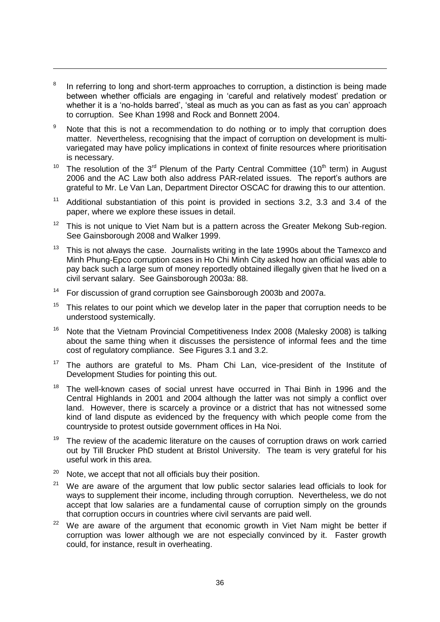8 In referring to long and short-term approaches to corruption, a distinction is being made between whether officials are engaging in "careful and relatively modest" predation or whether it is a 'no-holds barred', 'steal as much as you can as fast as you can' approach to corruption. See Khan 1998 and Rock and Bonnett 2004.

<u>.</u>

- 9 Note that this is not a recommendation to do nothing or to imply that corruption does matter. Nevertheless, recognising that the impact of corruption on development is multivariegated may have policy implications in context of finite resources where prioritisation is necessary.
- 10 The resolution of the  $3^{rd}$  Plenum of the Party Central Committee (10<sup>th</sup> term) in August 2006 and the AC Law both also address PAR-related issues. The report's authors are grateful to Mr. Le Van Lan, Department Director OSCAC for drawing this to our attention.
- 11 Additional substantiation of this point is provided in sections 3.2, 3.3 and 3.4 of the paper, where we explore these issues in detail.
- 12 This is not unique to Viet Nam but is a pattern across the Greater Mekong Sub-region. See Gainsborough 2008 and Walker 1999.
- 13 This is not always the case. Journalists writing in the late 1990s about the Tamexco and Minh Phung-Epco corruption cases in Ho Chi Minh City asked how an official was able to pay back such a large sum of money reportedly obtained illegally given that he lived on a civil servant salary. See Gainsborough 2003a: 88.
- 14 For discussion of grand corruption see Gainsborough 2003b and 2007a.
- 15 This relates to our point which we develop later in the paper that corruption needs to be understood systemically.
- 16 Note that the Vietnam Provincial Competitiveness Index 2008 (Malesky 2008) is talking about the same thing when it discusses the persistence of informal fees and the time cost of regulatory compliance. See Figures 3.1 and 3.2.
- 17 The authors are grateful to Ms. Pham Chi Lan, vice-president of the Institute of Development Studies for pointing this out.
- 18 The well-known cases of social unrest have occurred in Thai Binh in 1996 and the Central Highlands in 2001 and 2004 although the latter was not simply a conflict over land. However, there is scarcely a province or a district that has not witnessed some kind of land dispute as evidenced by the frequency with which people come from the countryside to protest outside government offices in Ha Noi.
- 19 The review of the academic literature on the causes of corruption draws on work carried out by Till Brucker PhD student at Bristol University. The team is very grateful for his useful work in this area.
- 20 Note, we accept that not all officials buy their position.
- 21 We are aware of the argument that low public sector salaries lead officials to look for ways to supplement their income, including through corruption. Nevertheless, we do not accept that low salaries are a fundamental cause of corruption simply on the grounds that corruption occurs in countries where civil servants are paid well.
- 22 We are aware of the argument that economic growth in Viet Nam might be better if corruption was lower although we are not especially convinced by it. Faster growth could, for instance, result in overheating.